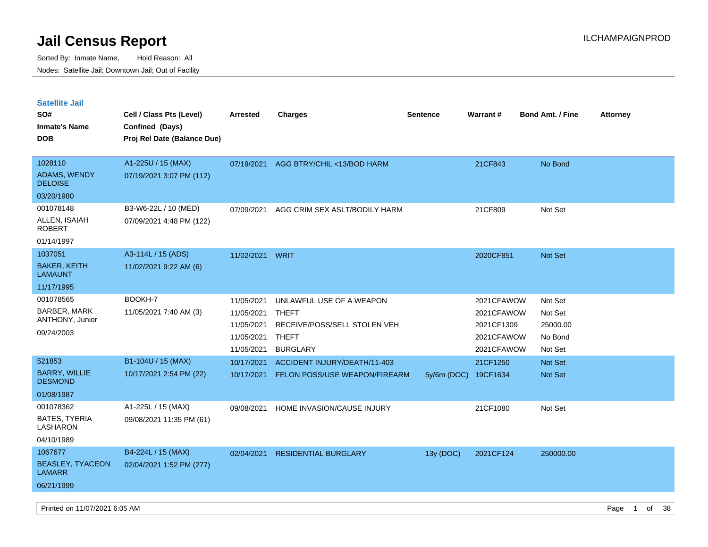| <b>Satellite Jail</b>                                      |                                                |                                                                    |                                                                                                             |                      |                                                                    |                                                      |                 |
|------------------------------------------------------------|------------------------------------------------|--------------------------------------------------------------------|-------------------------------------------------------------------------------------------------------------|----------------------|--------------------------------------------------------------------|------------------------------------------------------|-----------------|
| SO#                                                        | Cell / Class Pts (Level)                       | <b>Arrested</b>                                                    | <b>Charges</b>                                                                                              | <b>Sentence</b>      | Warrant#                                                           | <b>Bond Amt. / Fine</b>                              | <b>Attorney</b> |
| <b>Inmate's Name</b>                                       | Confined (Days)                                |                                                                    |                                                                                                             |                      |                                                                    |                                                      |                 |
| <b>DOB</b>                                                 | Proj Rel Date (Balance Due)                    |                                                                    |                                                                                                             |                      |                                                                    |                                                      |                 |
|                                                            |                                                |                                                                    |                                                                                                             |                      |                                                                    |                                                      |                 |
| 1028110                                                    | A1-225U / 15 (MAX)                             | 07/19/2021                                                         | AGG BTRY/CHIL <13/BOD HARM                                                                                  |                      | 21CF843                                                            | No Bond                                              |                 |
| <b>ADAMS, WENDY</b><br><b>DELOISE</b>                      | 07/19/2021 3:07 PM (112)                       |                                                                    |                                                                                                             |                      |                                                                    |                                                      |                 |
| 03/20/1980                                                 |                                                |                                                                    |                                                                                                             |                      |                                                                    |                                                      |                 |
| 001078148                                                  | B3-W6-22L / 10 (MED)                           | 07/09/2021                                                         | AGG CRIM SEX ASLT/BODILY HARM                                                                               |                      | 21CF809                                                            | Not Set                                              |                 |
| ALLEN, ISAIAH<br>ROBERT                                    | 07/09/2021 4:48 PM (122)                       |                                                                    |                                                                                                             |                      |                                                                    |                                                      |                 |
| 01/14/1997                                                 |                                                |                                                                    |                                                                                                             |                      |                                                                    |                                                      |                 |
| 1037051                                                    | A3-114L / 15 (ADS)                             | 11/02/2021                                                         | WRIT                                                                                                        |                      | 2020CF851                                                          | <b>Not Set</b>                                       |                 |
| <b>BAKER, KEITH</b><br><b>LAMAUNT</b>                      | 11/02/2021 9:22 AM (6)                         |                                                                    |                                                                                                             |                      |                                                                    |                                                      |                 |
| 11/17/1995                                                 |                                                |                                                                    |                                                                                                             |                      |                                                                    |                                                      |                 |
| 001078565<br>BARBER, MARK<br>ANTHONY, Junior<br>09/24/2003 | BOOKH-7<br>11/05/2021 7:40 AM (3)              | 11/05/2021<br>11/05/2021<br>11/05/2021<br>11/05/2021<br>11/05/2021 | UNLAWFUL USE OF A WEAPON<br><b>THEFT</b><br>RECEIVE/POSS/SELL STOLEN VEH<br><b>THEFT</b><br><b>BURGLARY</b> |                      | 2021CFAWOW<br>2021CFAWOW<br>2021CF1309<br>2021CFAWOW<br>2021CFAWOW | Not Set<br>Not Set<br>25000.00<br>No Bond<br>Not Set |                 |
| 521853                                                     | B1-104U / 15 (MAX)                             | 10/17/2021                                                         | ACCIDENT INJURY/DEATH/11-403                                                                                |                      | 21CF1250                                                           | Not Set                                              |                 |
| <b>BARRY, WILLIE</b><br><b>DESMOND</b>                     | 10/17/2021 2:54 PM (22)                        | 10/17/2021                                                         | FELON POSS/USE WEAPON/FIREARM                                                                               | 5y/6m (DOC) 19CF1634 |                                                                    | <b>Not Set</b>                                       |                 |
| 01/08/1987                                                 |                                                |                                                                    |                                                                                                             |                      |                                                                    |                                                      |                 |
| 001078362<br>BATES, TYERIA<br>LASHARON                     | A1-225L / 15 (MAX)<br>09/08/2021 11:35 PM (61) | 09/08/2021                                                         | HOME INVASION/CAUSE INJURY                                                                                  |                      | 21CF1080                                                           | Not Set                                              |                 |
| 04/10/1989                                                 |                                                |                                                                    |                                                                                                             |                      |                                                                    |                                                      |                 |
| 1067677                                                    | B4-224L / 15 (MAX)                             | 02/04/2021                                                         | <b>RESIDENTIAL BURGLARY</b>                                                                                 | 13y (DOC)            | 2021CF124                                                          | 250000.00                                            |                 |
| <b>BEASLEY, TYACEON</b><br>LAMARR                          | 02/04/2021 1:52 PM (277)                       |                                                                    |                                                                                                             |                      |                                                                    |                                                      |                 |
| 06/21/1999                                                 |                                                |                                                                    |                                                                                                             |                      |                                                                    |                                                      |                 |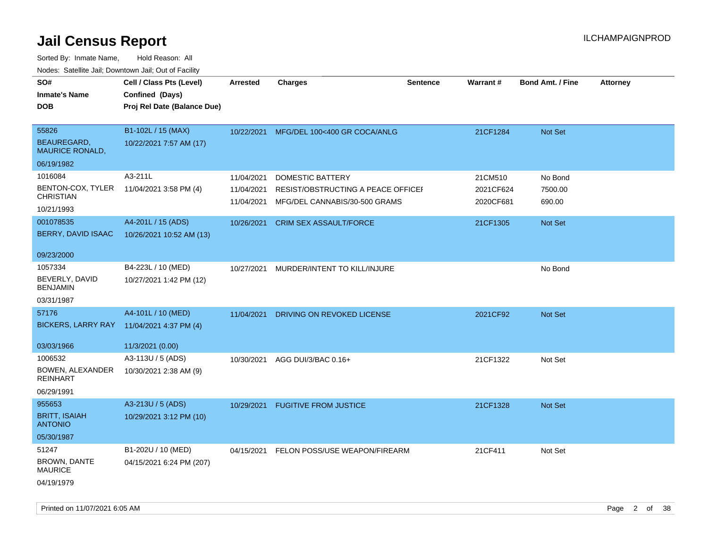| SO#<br><b>Inmate's Name</b><br>DOB                                                                | Cell / Class Pts (Level)<br>Confined (Days)<br>Proj Rel Date (Balance Due)          | Arrested                                             | <b>Charges</b>                                                                                                           | <b>Sentence</b> | <b>Warrant#</b>                               | <b>Bond Amt. / Fine</b>                 | <b>Attorney</b> |
|---------------------------------------------------------------------------------------------------|-------------------------------------------------------------------------------------|------------------------------------------------------|--------------------------------------------------------------------------------------------------------------------------|-----------------|-----------------------------------------------|-----------------------------------------|-----------------|
| 55826<br><b>BEAUREGARD.</b><br><b>MAURICE RONALD,</b><br>06/19/1982                               | B1-102L / 15 (MAX)<br>10/22/2021 7:57 AM (17)                                       | 10/22/2021                                           | MFG/DEL 100<400 GR COCA/ANLG                                                                                             |                 | 21CF1284                                      | Not Set                                 |                 |
| 1016084<br>BENTON-COX, TYLER<br><b>CHRISTIAN</b><br>10/21/1993<br>001078535<br>BERRY, DAVID ISAAC | A3-211L<br>11/04/2021 3:58 PM (4)<br>A4-201L / 15 (ADS)<br>10/26/2021 10:52 AM (13) | 11/04/2021<br>11/04/2021<br>11/04/2021<br>10/26/2021 | <b>DOMESTIC BATTERY</b><br>RESIST/OBSTRUCTING A PEACE OFFICEF<br>MFG/DEL CANNABIS/30-500 GRAMS<br>CRIM SEX ASSAULT/FORCE |                 | 21CM510<br>2021CF624<br>2020CF681<br>21CF1305 | No Bond<br>7500.00<br>690.00<br>Not Set |                 |
| 09/23/2000<br>1057334<br>BEVERLY, DAVID<br><b>BENJAMIN</b><br>03/31/1987                          | B4-223L / 10 (MED)<br>10/27/2021 1:42 PM (12)                                       | 10/27/2021                                           | MURDER/INTENT TO KILL/INJURE                                                                                             |                 |                                               | No Bond                                 |                 |
| 57176<br><b>BICKERS, LARRY RAY</b><br>03/03/1966                                                  | A4-101L / 10 (MED)<br>11/04/2021 4:37 PM (4)<br>11/3/2021 (0.00)                    | 11/04/2021                                           | DRIVING ON REVOKED LICENSE                                                                                               |                 | 2021CF92                                      | Not Set                                 |                 |
| 1006532<br>BOWEN, ALEXANDER<br><b>REINHART</b><br>06/29/1991                                      | A3-113U / 5 (ADS)<br>10/30/2021 2:38 AM (9)                                         | 10/30/2021                                           | AGG DUI/3/BAC 0.16+                                                                                                      |                 | 21CF1322                                      | Not Set                                 |                 |
| 955653<br><b>BRITT, ISAIAH</b><br><b>ANTONIO</b><br>05/30/1987                                    | A3-213U / 5 (ADS)<br>10/29/2021 3:12 PM (10)                                        | 10/29/2021                                           | <b>FUGITIVE FROM JUSTICE</b>                                                                                             |                 | 21CF1328                                      | Not Set                                 |                 |
| 51247<br>BROWN, DANTE<br><b>MAURICE</b><br>04/19/1979                                             | B1-202U / 10 (MED)<br>04/15/2021 6:24 PM (207)                                      | 04/15/2021                                           | FELON POSS/USE WEAPON/FIREARM                                                                                            |                 | 21CF411                                       | Not Set                                 |                 |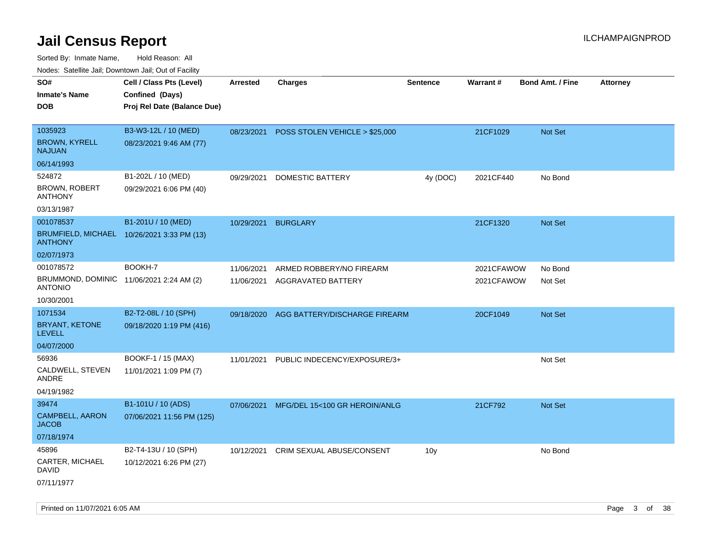Sorted By: Inmate Name, Hold Reason: All Nodes: Satellite Jail; Downtown Jail; Out of Facility

| ivouss. Satellite Jali, Downtown Jali, Out of Facility     |                                            |                 |                                           |                 |            |                         |                 |
|------------------------------------------------------------|--------------------------------------------|-----------------|-------------------------------------------|-----------------|------------|-------------------------|-----------------|
| SO#                                                        | Cell / Class Pts (Level)                   | <b>Arrested</b> | <b>Charges</b>                            | <b>Sentence</b> | Warrant#   | <b>Bond Amt. / Fine</b> | <b>Attorney</b> |
| Inmate's Name                                              | Confined (Days)                            |                 |                                           |                 |            |                         |                 |
| DOB                                                        | Proj Rel Date (Balance Due)                |                 |                                           |                 |            |                         |                 |
|                                                            |                                            |                 |                                           |                 |            |                         |                 |
| 1035923                                                    | B3-W3-12L / 10 (MED)                       |                 | 08/23/2021 POSS STOLEN VEHICLE > \$25,000 |                 | 21CF1029   | <b>Not Set</b>          |                 |
| <b>BROWN, KYRELL</b><br>NAJUAN                             | 08/23/2021 9:46 AM (77)                    |                 |                                           |                 |            |                         |                 |
| 06/14/1993                                                 |                                            |                 |                                           |                 |            |                         |                 |
| 524872                                                     | B1-202L / 10 (MED)                         | 09/29/2021      | DOMESTIC BATTERY                          | 4y (DOC)        | 2021CF440  | No Bond                 |                 |
| <b>BROWN, ROBERT</b><br>ANTHONY                            | 09/29/2021 6:06 PM (40)                    |                 |                                           |                 |            |                         |                 |
| 03/13/1987                                                 |                                            |                 |                                           |                 |            |                         |                 |
| 001078537                                                  | B1-201U / 10 (MED)                         | 10/29/2021      | <b>BURGLARY</b>                           |                 | 21CF1320   | Not Set                 |                 |
| <b>ANTHONY</b>                                             | BRUMFIELD, MICHAEL 10/26/2021 3:33 PM (13) |                 |                                           |                 |            |                         |                 |
| 02/07/1973                                                 |                                            |                 |                                           |                 |            |                         |                 |
| 001078572                                                  | BOOKH-7                                    | 11/06/2021      | ARMED ROBBERY/NO FIREARM                  |                 | 2021CFAWOW | No Bond                 |                 |
| BRUMMOND, DOMINIC 11/06/2021 2:24 AM (2)<br><b>ANTONIO</b> |                                            | 11/06/2021      | AGGRAVATED BATTERY                        |                 | 2021CFAWOW | Not Set                 |                 |
| 10/30/2001                                                 |                                            |                 |                                           |                 |            |                         |                 |
| 1071534                                                    | B2-T2-08L / 10 (SPH)                       | 09/18/2020      | AGG BATTERY/DISCHARGE FIREARM             |                 | 20CF1049   | <b>Not Set</b>          |                 |
| BRYANT, KETONE<br>LEVELL                                   | 09/18/2020 1:19 PM (416)                   |                 |                                           |                 |            |                         |                 |
| 04/07/2000                                                 |                                            |                 |                                           |                 |            |                         |                 |
| 56936                                                      | BOOKF-1 / 15 (MAX)                         | 11/01/2021      | PUBLIC INDECENCY/EXPOSURE/3+              |                 |            | Not Set                 |                 |
| CALDWELL, STEVEN<br>ANDRE                                  | 11/01/2021 1:09 PM (7)                     |                 |                                           |                 |            |                         |                 |
| 04/19/1982                                                 |                                            |                 |                                           |                 |            |                         |                 |
| 39474                                                      | B1-101U / 10 (ADS)                         | 07/06/2021      | MFG/DEL 15<100 GR HEROIN/ANLG             |                 | 21CF792    | <b>Not Set</b>          |                 |
| <b>CAMPBELL, AARON</b><br>JACOB                            | 07/06/2021 11:56 PM (125)                  |                 |                                           |                 |            |                         |                 |
| 07/18/1974                                                 |                                            |                 |                                           |                 |            |                         |                 |
| 45896                                                      | B2-T4-13U / 10 (SPH)                       | 10/12/2021      | CRIM SEXUAL ABUSE/CONSENT                 | 10 <sub>V</sub> |            | No Bond                 |                 |
| CARTER, MICHAEL<br>David                                   | 10/12/2021 6:26 PM (27)                    |                 |                                           |                 |            |                         |                 |
| 07/11/1977                                                 |                                            |                 |                                           |                 |            |                         |                 |

Printed on 11/07/2021 6:05 AM **Page 3 of 38**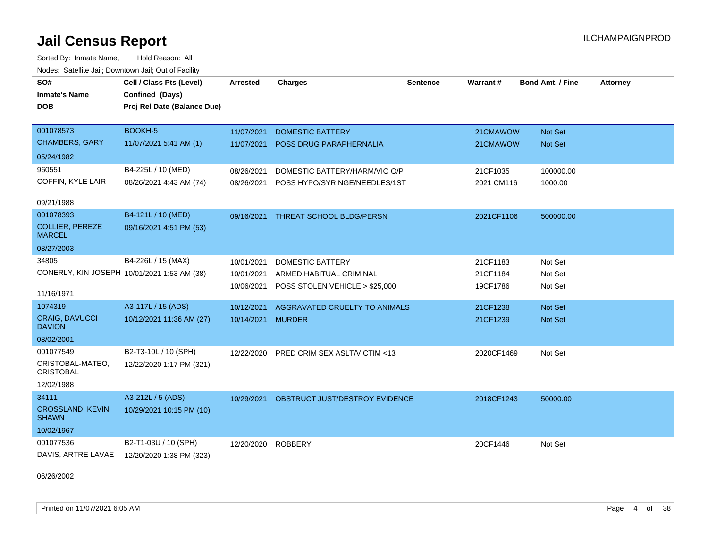Sorted By: Inmate Name, Hold Reason: All Nodes: Satellite Jail; Downtown Jail; Out of Facility

| SO#<br><b>Inmate's Name</b><br><b>DOB</b>   | Cell / Class Pts (Level)<br>Confined (Days)<br>Proj Rel Date (Balance Due) | Arrested   | <b>Charges</b>                          | Sentence | Warrant#   | <b>Bond Amt. / Fine</b> | <b>Attorney</b> |
|---------------------------------------------|----------------------------------------------------------------------------|------------|-----------------------------------------|----------|------------|-------------------------|-----------------|
| 001078573                                   | BOOKH-5                                                                    | 11/07/2021 | <b>DOMESTIC BATTERY</b>                 |          | 21CMAWOW   | Not Set                 |                 |
| <b>CHAMBERS, GARY</b>                       | 11/07/2021 5:41 AM (1)                                                     | 11/07/2021 | <b>POSS DRUG PARAPHERNALIA</b>          |          | 21CMAWOW   | Not Set                 |                 |
| 05/24/1982                                  |                                                                            |            |                                         |          |            |                         |                 |
| 960551                                      | B4-225L / 10 (MED)                                                         | 08/26/2021 | DOMESTIC BATTERY/HARM/VIO O/P           |          | 21CF1035   | 100000.00               |                 |
| COFFIN, KYLE LAIR                           | 08/26/2021 4:43 AM (74)                                                    | 08/26/2021 | POSS HYPO/SYRINGE/NEEDLES/1ST           |          | 2021 CM116 | 1000.00                 |                 |
| 09/21/1988                                  |                                                                            |            |                                         |          |            |                         |                 |
| 001078393                                   | B4-121L / 10 (MED)                                                         | 09/16/2021 | <b>THREAT SCHOOL BLDG/PERSN</b>         |          | 2021CF1106 | 500000.00               |                 |
| <b>COLLIER, PEREZE</b><br><b>MARCEL</b>     | 09/16/2021 4:51 PM (53)                                                    |            |                                         |          |            |                         |                 |
| 08/27/2003                                  |                                                                            |            |                                         |          |            |                         |                 |
| 34805                                       | B4-226L / 15 (MAX)                                                         | 10/01/2021 | <b>DOMESTIC BATTERY</b>                 |          | 21CF1183   | Not Set                 |                 |
| CONERLY, KIN JOSEPH 10/01/2021 1:53 AM (38) |                                                                            | 10/01/2021 | ARMED HABITUAL CRIMINAL                 |          | 21CF1184   | Not Set                 |                 |
| 11/16/1971                                  |                                                                            | 10/06/2021 | POSS STOLEN VEHICLE > \$25,000          |          | 19CF1786   | Not Set                 |                 |
| 1074319                                     | A3-117L / 15 (ADS)                                                         | 10/12/2021 | AGGRAVATED CRUELTY TO ANIMALS           |          | 21CF1238   | Not Set                 |                 |
| <b>CRAIG, DAVUCCI</b><br><b>DAVION</b>      | 10/12/2021 11:36 AM (27)                                                   | 10/14/2021 | <b>MURDER</b>                           |          | 21CF1239   | <b>Not Set</b>          |                 |
| 08/02/2001                                  |                                                                            |            |                                         |          |            |                         |                 |
| 001077549                                   | B2-T3-10L / 10 (SPH)                                                       | 12/22/2020 | <b>PRED CRIM SEX ASLT/VICTIM &lt;13</b> |          | 2020CF1469 | Not Set                 |                 |
| CRISTOBAL-MATEO,<br><b>CRISTOBAL</b>        | 12/22/2020 1:17 PM (321)                                                   |            |                                         |          |            |                         |                 |
| 12/02/1988                                  |                                                                            |            |                                         |          |            |                         |                 |
| 34111                                       | A3-212L / 5 (ADS)                                                          | 10/29/2021 | OBSTRUCT JUST/DESTROY EVIDENCE          |          | 2018CF1243 | 50000.00                |                 |
| <b>CROSSLAND, KEVIN</b><br><b>SHAWN</b>     | 10/29/2021 10:15 PM (10)                                                   |            |                                         |          |            |                         |                 |
| 10/02/1967                                  |                                                                            |            |                                         |          |            |                         |                 |
| 001077536                                   | B2-T1-03U / 10 (SPH)                                                       | 12/20/2020 | <b>ROBBERY</b>                          |          | 20CF1446   | Not Set                 |                 |
| DAVIS, ARTRE LAVAE                          | 12/20/2020 1:38 PM (323)                                                   |            |                                         |          |            |                         |                 |

06/26/2002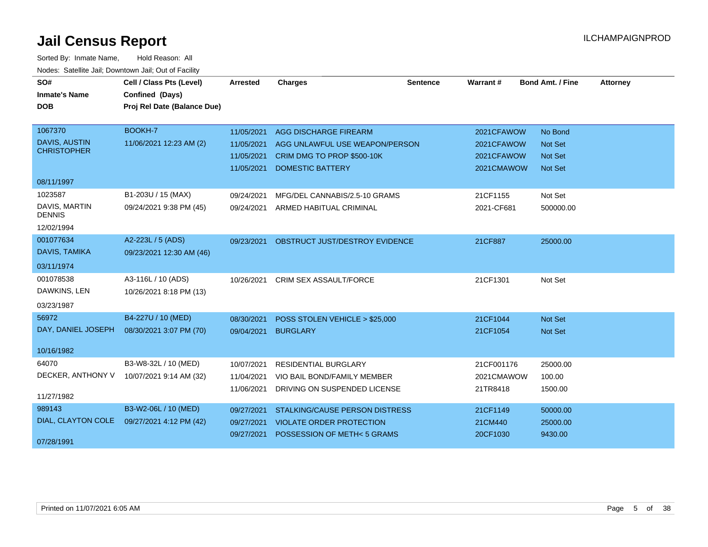| SO#<br><b>Inmate's Name</b><br><b>DOB</b>                    | Cell / Class Pts (Level)<br>Confined (Days)<br>Proj Rel Date (Balance Due) | <b>Arrested</b>                                      | <b>Charges</b>                                                                                                   | <b>Sentence</b> | <b>Warrant#</b>                                      | <b>Bond Amt. / Fine</b>                                       | <b>Attorney</b> |
|--------------------------------------------------------------|----------------------------------------------------------------------------|------------------------------------------------------|------------------------------------------------------------------------------------------------------------------|-----------------|------------------------------------------------------|---------------------------------------------------------------|-----------------|
| 1067370<br>DAVIS, AUSTIN<br><b>CHRISTOPHER</b><br>08/11/1997 | BOOKH-7<br>11/06/2021 12:23 AM (2)                                         | 11/05/2021<br>11/05/2021<br>11/05/2021<br>11/05/2021 | AGG DISCHARGE FIREARM<br>AGG UNLAWFUL USE WEAPON/PERSON<br>CRIM DMG TO PROP \$500-10K<br><b>DOMESTIC BATTERY</b> |                 | 2021CFAWOW<br>2021CFAWOW<br>2021CFAWOW<br>2021CMAWOW | No Bond<br><b>Not Set</b><br><b>Not Set</b><br><b>Not Set</b> |                 |
| 1023587<br>DAVIS, MARTIN<br><b>DENNIS</b><br>12/02/1994      | B1-203U / 15 (MAX)<br>09/24/2021 9:38 PM (45)                              | 09/24/2021<br>09/24/2021                             | MFG/DEL CANNABIS/2.5-10 GRAMS<br>ARMED HABITUAL CRIMINAL                                                         |                 | 21CF1155<br>2021-CF681                               | Not Set<br>500000.00                                          |                 |
| 001077634<br>DAVIS, TAMIKA<br>03/11/1974                     | A2-223L / 5 (ADS)<br>09/23/2021 12:30 AM (46)                              | 09/23/2021                                           | OBSTRUCT JUST/DESTROY EVIDENCE                                                                                   |                 | 21CF887                                              | 25000.00                                                      |                 |
| 001078538<br>DAWKINS, LEN<br>03/23/1987                      | A3-116L / 10 (ADS)<br>10/26/2021 8:18 PM (13)                              | 10/26/2021                                           | <b>CRIM SEX ASSAULT/FORCE</b>                                                                                    |                 | 21CF1301                                             | Not Set                                                       |                 |
| 56972<br>DAY, DANIEL JOSEPH<br>10/16/1982                    | B4-227U / 10 (MED)<br>08/30/2021 3:07 PM (70)                              | 08/30/2021<br>09/04/2021                             | POSS STOLEN VEHICLE > \$25,000<br><b>BURGLARY</b>                                                                |                 | 21CF1044<br>21CF1054                                 | <b>Not Set</b><br><b>Not Set</b>                              |                 |
| 64070<br>DECKER, ANTHONY V<br>11/27/1982                     | B3-W8-32L / 10 (MED)<br>10/07/2021 9:14 AM (32)                            | 10/07/2021<br>11/04/2021<br>11/06/2021               | <b>RESIDENTIAL BURGLARY</b><br>VIO BAIL BOND/FAMILY MEMBER<br>DRIVING ON SUSPENDED LICENSE                       |                 | 21CF001176<br>2021CMAWOW<br>21TR8418                 | 25000.00<br>100.00<br>1500.00                                 |                 |
| 989143<br>DIAL, CLAYTON COLE<br>07/28/1991                   | B3-W2-06L / 10 (MED)<br>09/27/2021 4:12 PM (42)                            | 09/27/2021<br>09/27/2021<br>09/27/2021               | <b>STALKING/CAUSE PERSON DISTRESS</b><br><b>VIOLATE ORDER PROTECTION</b><br>POSSESSION OF METH<5 GRAMS           |                 | 21CF1149<br>21CM440<br>20CF1030                      | 50000.00<br>25000.00<br>9430.00                               |                 |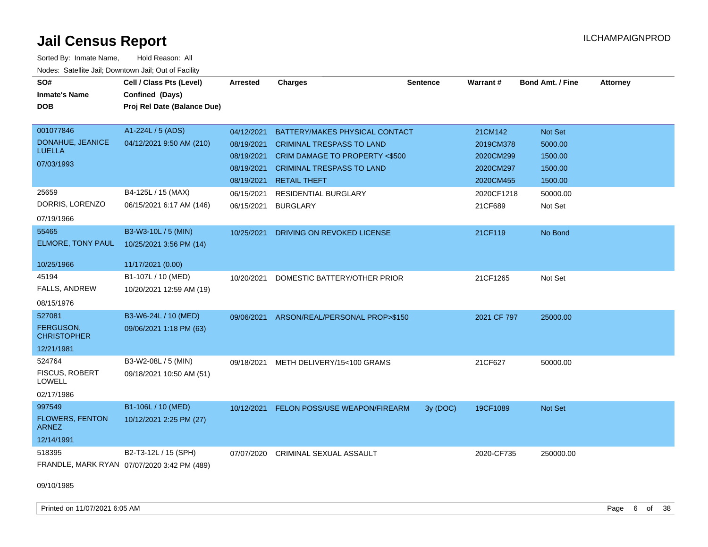| SO#                                    | Cell / Class Pts (Level)                    | <b>Arrested</b> | <b>Charges</b>                            | <b>Sentence</b> | <b>Warrant#</b> | <b>Bond Amt. / Fine</b> | <b>Attorney</b> |
|----------------------------------------|---------------------------------------------|-----------------|-------------------------------------------|-----------------|-----------------|-------------------------|-----------------|
| <b>Inmate's Name</b>                   | Confined (Days)                             |                 |                                           |                 |                 |                         |                 |
| <b>DOB</b>                             | Proj Rel Date (Balance Due)                 |                 |                                           |                 |                 |                         |                 |
|                                        |                                             |                 |                                           |                 |                 |                         |                 |
| 001077846                              | A1-224L / 5 (ADS)                           | 04/12/2021      | BATTERY/MAKES PHYSICAL CONTACT            |                 | 21CM142         | Not Set                 |                 |
| DONAHUE, JEANICE                       | 04/12/2021 9:50 AM (210)                    | 08/19/2021      | <b>CRIMINAL TRESPASS TO LAND</b>          |                 | 2019CM378       | 5000.00                 |                 |
| <b>LUELLA</b>                          |                                             | 08/19/2021      | CRIM DAMAGE TO PROPERTY <\$500            |                 | 2020CM299       | 1500.00                 |                 |
| 07/03/1993                             |                                             | 08/19/2021      | <b>CRIMINAL TRESPASS TO LAND</b>          |                 | 2020CM297       | 1500.00                 |                 |
|                                        |                                             | 08/19/2021      | <b>RETAIL THEFT</b>                       |                 | 2020CM455       | 1500.00                 |                 |
| 25659                                  | B4-125L / 15 (MAX)                          | 06/15/2021      | <b>RESIDENTIAL BURGLARY</b>               |                 | 2020CF1218      | 50000.00                |                 |
| DORRIS, LORENZO                        | 06/15/2021 6:17 AM (146)                    | 06/15/2021      | <b>BURGLARY</b>                           |                 | 21CF689         | Not Set                 |                 |
| 07/19/1966                             |                                             |                 |                                           |                 |                 |                         |                 |
| 55465                                  | B3-W3-10L / 5 (MIN)                         | 10/25/2021      | DRIVING ON REVOKED LICENSE                |                 | 21CF119         | No Bond                 |                 |
| ELMORE, TONY PAUL                      | 10/25/2021 3:56 PM (14)                     |                 |                                           |                 |                 |                         |                 |
| 10/25/1966                             | 11/17/2021 (0.00)                           |                 |                                           |                 |                 |                         |                 |
| 45194                                  | B1-107L / 10 (MED)                          | 10/20/2021      | DOMESTIC BATTERY/OTHER PRIOR              |                 | 21CF1265        | Not Set                 |                 |
| FALLS, ANDREW                          | 10/20/2021 12:59 AM (19)                    |                 |                                           |                 |                 |                         |                 |
| 08/15/1976                             |                                             |                 |                                           |                 |                 |                         |                 |
| 527081                                 | B3-W6-24L / 10 (MED)                        |                 | 09/06/2021 ARSON/REAL/PERSONAL PROP>\$150 |                 | 2021 CF 797     | 25000.00                |                 |
| FERGUSON,<br><b>CHRISTOPHER</b>        | 09/06/2021 1:18 PM (63)                     |                 |                                           |                 |                 |                         |                 |
| 12/21/1981                             |                                             |                 |                                           |                 |                 |                         |                 |
| 524764                                 | B3-W2-08L / 5 (MIN)                         | 09/18/2021      | METH DELIVERY/15<100 GRAMS                |                 | 21CF627         | 50000.00                |                 |
| <b>FISCUS, ROBERT</b><br><b>LOWELL</b> | 09/18/2021 10:50 AM (51)                    |                 |                                           |                 |                 |                         |                 |
| 02/17/1986                             |                                             |                 |                                           |                 |                 |                         |                 |
| 997549                                 | B1-106L / 10 (MED)                          | 10/12/2021      | FELON POSS/USE WEAPON/FIREARM             | 3y (DOC)        | 19CF1089        | Not Set                 |                 |
| <b>FLOWERS, FENTON</b><br><b>ARNEZ</b> | 10/12/2021 2:25 PM (27)                     |                 |                                           |                 |                 |                         |                 |
| 12/14/1991                             |                                             |                 |                                           |                 |                 |                         |                 |
| 518395                                 | B2-T3-12L / 15 (SPH)                        | 07/07/2020      | CRIMINAL SEXUAL ASSAULT                   |                 | 2020-CF735      | 250000.00               |                 |
|                                        | FRANDLE, MARK RYAN 07/07/2020 3:42 PM (489) |                 |                                           |                 |                 |                         |                 |
| 09/10/1985                             |                                             |                 |                                           |                 |                 |                         |                 |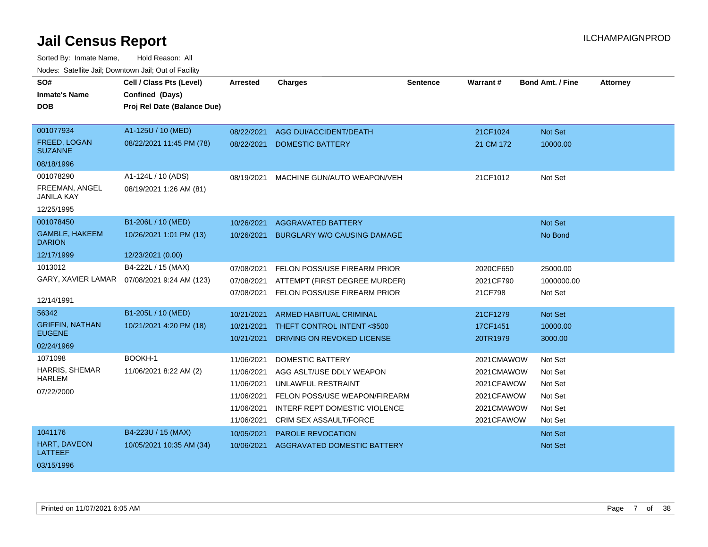| SO#                             | Cell / Class Pts (Level)                     | <b>Arrested</b> | <b>Charges</b>                     | <b>Sentence</b> | Warrant#   | <b>Bond Amt. / Fine</b> | <b>Attorney</b> |
|---------------------------------|----------------------------------------------|-----------------|------------------------------------|-----------------|------------|-------------------------|-----------------|
| <b>Inmate's Name</b>            | Confined (Days)                              |                 |                                    |                 |            |                         |                 |
| <b>DOB</b>                      | Proj Rel Date (Balance Due)                  |                 |                                    |                 |            |                         |                 |
|                                 |                                              |                 |                                    |                 |            |                         |                 |
| 001077934                       | A1-125U / 10 (MED)                           | 08/22/2021      | AGG DUI/ACCIDENT/DEATH             |                 | 21CF1024   | Not Set                 |                 |
| FREED, LOGAN<br><b>SUZANNE</b>  | 08/22/2021 11:45 PM (78)                     | 08/22/2021      | <b>DOMESTIC BATTERY</b>            |                 | 21 CM 172  | 10000.00                |                 |
| 08/18/1996                      |                                              |                 |                                    |                 |            |                         |                 |
| 001078290                       | A1-124L / 10 (ADS)                           | 08/19/2021      | MACHINE GUN/AUTO WEAPON/VEH        |                 | 21CF1012   | Not Set                 |                 |
| FREEMAN, ANGEL<br>JANILA KAY    | 08/19/2021 1:26 AM (81)                      |                 |                                    |                 |            |                         |                 |
| 12/25/1995                      |                                              |                 |                                    |                 |            |                         |                 |
| 001078450                       | B1-206L / 10 (MED)                           | 10/26/2021      | <b>AGGRAVATED BATTERY</b>          |                 |            | Not Set                 |                 |
| GAMBLE, HAKEEM<br><b>DARION</b> | 10/26/2021 1:01 PM (13)                      | 10/26/2021      | <b>BURGLARY W/O CAUSING DAMAGE</b> |                 |            | No Bond                 |                 |
| 12/17/1999                      | 12/23/2021 (0.00)                            |                 |                                    |                 |            |                         |                 |
| 1013012                         | B4-222L / 15 (MAX)                           | 07/08/2021      | FELON POSS/USE FIREARM PRIOR       |                 | 2020CF650  | 25000.00                |                 |
|                                 | GARY, XAVIER LAMAR  07/08/2021 9:24 AM (123) | 07/08/2021      | ATTEMPT (FIRST DEGREE MURDER)      |                 | 2021CF790  | 1000000.00              |                 |
|                                 |                                              | 07/08/2021      | FELON POSS/USE FIREARM PRIOR       |                 | 21CF798    | Not Set                 |                 |
| 12/14/1991                      |                                              |                 |                                    |                 |            |                         |                 |
| 56342                           | B1-205L / 10 (MED)                           | 10/21/2021      | <b>ARMED HABITUAL CRIMINAL</b>     |                 | 21CF1279   | Not Set                 |                 |
| <b>GRIFFIN, NATHAN</b>          | 10/21/2021 4:20 PM (18)                      | 10/21/2021      | THEFT CONTROL INTENT <\$500        |                 | 17CF1451   | 10000.00                |                 |
| <b>EUGENE</b>                   |                                              | 10/21/2021      | DRIVING ON REVOKED LICENSE         |                 | 20TR1979   | 3000.00                 |                 |
| 02/24/1969                      |                                              |                 |                                    |                 |            |                         |                 |
| 1071098                         | BOOKH-1                                      | 11/06/2021      | <b>DOMESTIC BATTERY</b>            |                 | 2021CMAWOW | Not Set                 |                 |
| HARRIS, SHEMAR                  | 11/06/2021 8:22 AM (2)                       | 11/06/2021      | AGG ASLT/USE DDLY WEAPON           |                 | 2021CMAWOW | Not Set                 |                 |
| HARLEM                          |                                              | 11/06/2021      | UNLAWFUL RESTRAINT                 |                 | 2021CFAWOW | Not Set                 |                 |
| 07/22/2000                      |                                              | 11/06/2021      | FELON POSS/USE WEAPON/FIREARM      |                 | 2021CFAWOW | Not Set                 |                 |
|                                 |                                              | 11/06/2021      | INTERF REPT DOMESTIC VIOLENCE      |                 | 2021CMAWOW | Not Set                 |                 |
|                                 |                                              | 11/06/2021      | CRIM SEX ASSAULT/FORCE             |                 | 2021CFAWOW | Not Set                 |                 |
| 1041176                         | B4-223U / 15 (MAX)                           | 10/05/2021      | PAROLE REVOCATION                  |                 |            | Not Set                 |                 |
| <b>HART, DAVEON</b><br>LATTEEF  | 10/05/2021 10:35 AM (34)                     | 10/06/2021      | AGGRAVATED DOMESTIC BATTERY        |                 |            | <b>Not Set</b>          |                 |
| 03/15/1996                      |                                              |                 |                                    |                 |            |                         |                 |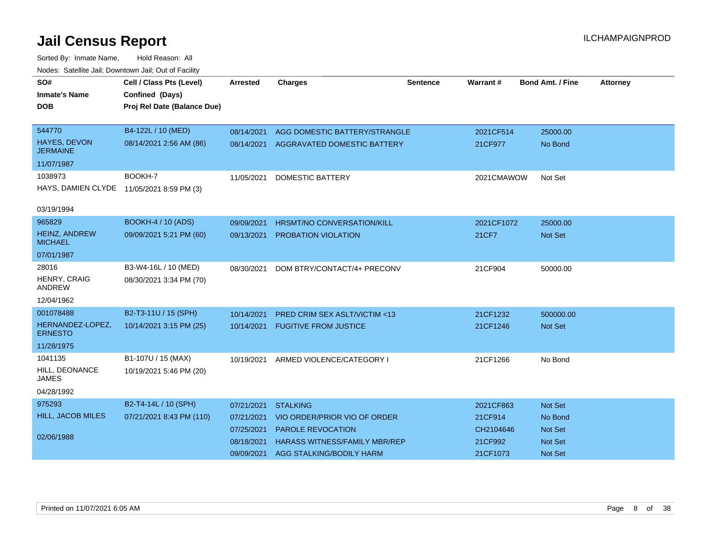| SO#                                       | Cell / Class Pts (Level)    | <b>Arrested</b> | <b>Charges</b>                          | <b>Sentence</b> | <b>Warrant#</b> | <b>Bond Amt. / Fine</b> | <b>Attorney</b> |
|-------------------------------------------|-----------------------------|-----------------|-----------------------------------------|-----------------|-----------------|-------------------------|-----------------|
| <b>Inmate's Name</b>                      | Confined (Days)             |                 |                                         |                 |                 |                         |                 |
| <b>DOB</b>                                | Proj Rel Date (Balance Due) |                 |                                         |                 |                 |                         |                 |
| 544770                                    | B4-122L / 10 (MED)          | 08/14/2021      | AGG DOMESTIC BATTERY/STRANGLE           |                 | 2021CF514       | 25000.00                |                 |
| HAYES, DEVON<br><b>JERMAINE</b>           | 08/14/2021 2:56 AM (86)     |                 | 08/14/2021 AGGRAVATED DOMESTIC BATTERY  |                 | 21CF977         | No Bond                 |                 |
| 11/07/1987                                |                             |                 |                                         |                 |                 |                         |                 |
| 1038973                                   | BOOKH-7                     | 11/05/2021      | <b>DOMESTIC BATTERY</b>                 |                 | 2021CMAWOW      | Not Set                 |                 |
| HAYS, DAMIEN CLYDE 11/05/2021 8:59 PM (3) |                             |                 |                                         |                 |                 |                         |                 |
| 03/19/1994                                |                             |                 |                                         |                 |                 |                         |                 |
| 965829                                    | <b>BOOKH-4 / 10 (ADS)</b>   | 09/09/2021      | <b>HRSMT/NO CONVERSATION/KILL</b>       |                 | 2021CF1072      | 25000.00                |                 |
| HEINZ, ANDREW<br><b>MICHAEL</b>           | 09/09/2021 5:21 PM (60)     | 09/13/2021      | PROBATION VIOLATION                     |                 | <b>21CF7</b>    | <b>Not Set</b>          |                 |
| 07/01/1987                                |                             |                 |                                         |                 |                 |                         |                 |
| 28016                                     | B3-W4-16L / 10 (MED)        | 08/30/2021      | DOM BTRY/CONTACT/4+ PRECONV             |                 | 21CF904         | 50000.00                |                 |
| HENRY, CRAIG<br><b>ANDREW</b>             | 08/30/2021 3:34 PM (70)     |                 |                                         |                 |                 |                         |                 |
| 12/04/1962                                |                             |                 |                                         |                 |                 |                         |                 |
| 001078488                                 | B2-T3-11U / 15 (SPH)        | 10/14/2021      | <b>PRED CRIM SEX ASLT/VICTIM &lt;13</b> |                 | 21CF1232        | 500000.00               |                 |
| HERNANDEZ-LOPEZ,<br><b>ERNESTO</b>        | 10/14/2021 3:15 PM (25)     |                 | 10/14/2021 FUGITIVE FROM JUSTICE        |                 | 21CF1246        | <b>Not Set</b>          |                 |
| 11/28/1975                                |                             |                 |                                         |                 |                 |                         |                 |
| 1041135                                   | B1-107U / 15 (MAX)          | 10/19/2021      | ARMED VIOLENCE/CATEGORY I               |                 | 21CF1266        | No Bond                 |                 |
| HILL, DEONANCE<br><b>JAMES</b>            | 10/19/2021 5:46 PM (20)     |                 |                                         |                 |                 |                         |                 |
| 04/28/1992                                |                             |                 |                                         |                 |                 |                         |                 |
| 975293                                    | B2-T4-14L / 10 (SPH)        | 07/21/2021      | <b>STALKING</b>                         |                 | 2021CF863       | Not Set                 |                 |
| HILL, JACOB MILES                         | 07/21/2021 8:43 PM (110)    | 07/21/2021      | VIO ORDER/PRIOR VIO OF ORDER            |                 | 21CF914         | No Bond                 |                 |
|                                           |                             | 07/25/2021      | PAROLE REVOCATION                       |                 | CH2104646       | <b>Not Set</b>          |                 |
| 02/06/1988                                |                             | 08/18/2021      | <b>HARASS WITNESS/FAMILY MBR/REP</b>    |                 | 21CF992         | <b>Not Set</b>          |                 |
|                                           |                             | 09/09/2021      | AGG STALKING/BODILY HARM                |                 | 21CF1073        | <b>Not Set</b>          |                 |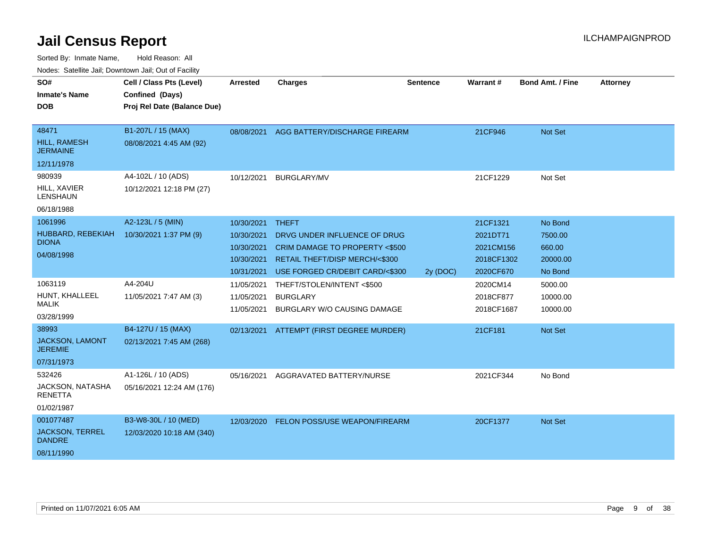| SO#<br><b>Inmate's Name</b><br><b>DOB</b>                          | Cell / Class Pts (Level)<br>Confined (Days)<br>Proj Rel Date (Balance Due) | <b>Arrested</b>                                                    | <b>Charges</b>                                                                                                                                      | Sentence | Warrant#                                                     | <b>Bond Amt. / Fine</b>                             | <b>Attorney</b> |
|--------------------------------------------------------------------|----------------------------------------------------------------------------|--------------------------------------------------------------------|-----------------------------------------------------------------------------------------------------------------------------------------------------|----------|--------------------------------------------------------------|-----------------------------------------------------|-----------------|
| 48471<br><b>HILL, RAMESH</b><br><b>JERMAINE</b><br>12/11/1978      | B1-207L / 15 (MAX)<br>08/08/2021 4:45 AM (92)                              | 08/08/2021                                                         | AGG BATTERY/DISCHARGE FIREARM                                                                                                                       |          | 21CF946                                                      | Not Set                                             |                 |
| 980939<br>HILL, XAVIER<br><b>LENSHAUN</b><br>06/18/1988            | A4-102L / 10 (ADS)<br>10/12/2021 12:18 PM (27)                             | 10/12/2021                                                         | <b>BURGLARY/MV</b>                                                                                                                                  |          | 21CF1229                                                     | Not Set                                             |                 |
| 1061996<br>HUBBARD, REBEKIAH<br><b>DIONA</b><br>04/08/1998         | A2-123L / 5 (MIN)<br>10/30/2021 1:37 PM (9)                                | 10/30/2021<br>10/30/2021<br>10/30/2021<br>10/30/2021<br>10/31/2021 | <b>THEFT</b><br>DRVG UNDER INFLUENCE OF DRUG<br>CRIM DAMAGE TO PROPERTY <\$500<br>RETAIL THEFT/DISP MERCH/<\$300<br>USE FORGED CR/DEBIT CARD/<\$300 | 2y (DOC) | 21CF1321<br>2021DT71<br>2021CM156<br>2018CF1302<br>2020CF670 | No Bond<br>7500.00<br>660.00<br>20000.00<br>No Bond |                 |
| 1063119<br>HUNT, KHALLEEL<br><b>MALIK</b><br>03/28/1999            | A4-204U<br>11/05/2021 7:47 AM (3)                                          | 11/05/2021<br>11/05/2021<br>11/05/2021                             | THEFT/STOLEN/INTENT<\$500<br><b>BURGLARY</b><br><b>BURGLARY W/O CAUSING DAMAGE</b>                                                                  |          | 2020CM14<br>2018CF877<br>2018CF1687                          | 5000.00<br>10000.00<br>10000.00                     |                 |
| 38993<br><b>JACKSON, LAMONT</b><br><b>JEREMIE</b><br>07/31/1973    | B4-127U / 15 (MAX)<br>02/13/2021 7:45 AM (268)                             | 02/13/2021                                                         | ATTEMPT (FIRST DEGREE MURDER)                                                                                                                       |          | 21CF181                                                      | Not Set                                             |                 |
| 532426<br>JACKSON, NATASHA<br><b>RENETTA</b><br>01/02/1987         | A1-126L / 10 (ADS)<br>05/16/2021 12:24 AM (176)                            | 05/16/2021                                                         | AGGRAVATED BATTERY/NURSE                                                                                                                            |          | 2021CF344                                                    | No Bond                                             |                 |
| 001077487<br><b>JACKSON, TERREL</b><br><b>DANDRE</b><br>08/11/1990 | B3-W8-30L / 10 (MED)<br>12/03/2020 10:18 AM (340)                          |                                                                    | 12/03/2020 FELON POSS/USE WEAPON/FIREARM                                                                                                            |          | 20CF1377                                                     | Not Set                                             |                 |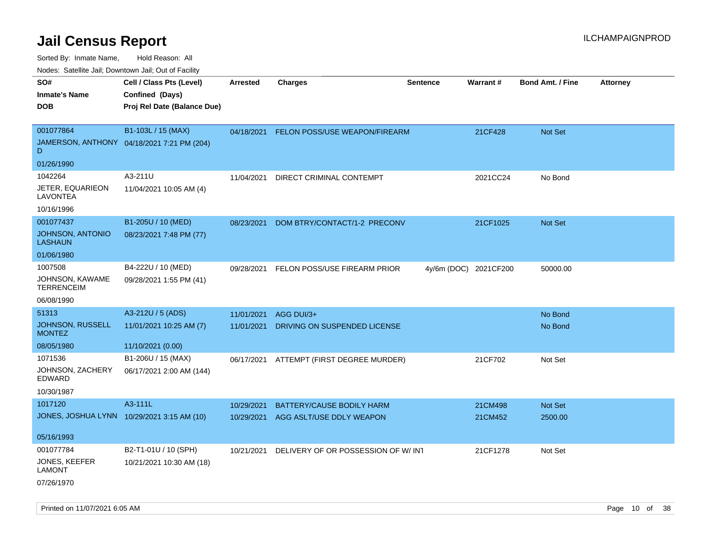Sorted By: Inmate Name, Hold Reason: All

Nodes: Satellite Jail; Downtown Jail; Out of Facility

| SO#<br><b>Inmate's Name</b><br><b>DOB</b>       | Cell / Class Pts (Level)<br>Confined (Days)<br>Proj Rel Date (Balance Due) | <b>Arrested</b> | <b>Charges</b>                           | <b>Sentence</b>       | Warrant# | <b>Bond Amt. / Fine</b> | <b>Attorney</b> |
|-------------------------------------------------|----------------------------------------------------------------------------|-----------------|------------------------------------------|-----------------------|----------|-------------------------|-----------------|
| 001077864<br>D                                  | B1-103L / 15 (MAX)<br>JAMERSON, ANTHONY 04/18/2021 7:21 PM (204)           | 04/18/2021      | FELON POSS/USE WEAPON/FIREARM            |                       | 21CF428  | <b>Not Set</b>          |                 |
| 01/26/1990<br>1042264                           | A3-211U                                                                    |                 |                                          |                       |          |                         |                 |
| JETER, EQUARIEON<br><b>LAVONTEA</b>             | 11/04/2021 10:05 AM (4)                                                    | 11/04/2021      | DIRECT CRIMINAL CONTEMPT                 |                       | 2021CC24 | No Bond                 |                 |
| 10/16/1996                                      |                                                                            |                 |                                          |                       |          |                         |                 |
| 001077437<br>JOHNSON, ANTONIO<br><b>LASHAUN</b> | B1-205U / 10 (MED)<br>08/23/2021 7:48 PM (77)                              | 08/23/2021      | DOM BTRY/CONTACT/1-2 PRECONV             |                       | 21CF1025 | Not Set                 |                 |
| 01/06/1980                                      |                                                                            |                 |                                          |                       |          |                         |                 |
| 1007508<br>JOHNSON, KAWAME<br><b>TERRENCEIM</b> | B4-222U / 10 (MED)<br>09/28/2021 1:55 PM (41)                              | 09/28/2021      | FELON POSS/USE FIREARM PRIOR             | 4y/6m (DOC) 2021CF200 |          | 50000.00                |                 |
| 06/08/1990                                      |                                                                            |                 |                                          |                       |          |                         |                 |
| 51313                                           | A3-212U / 5 (ADS)                                                          | 11/01/2021      | AGG DUI/3+                               |                       |          | No Bond                 |                 |
| JOHNSON, RUSSELL<br><b>MONTEZ</b>               | 11/01/2021 10:25 AM (7)                                                    | 11/01/2021      | DRIVING ON SUSPENDED LICENSE             |                       |          | No Bond                 |                 |
| 08/05/1980                                      | 11/10/2021 (0.00)                                                          |                 |                                          |                       |          |                         |                 |
| 1071536                                         | B1-206U / 15 (MAX)                                                         |                 | 06/17/2021 ATTEMPT (FIRST DEGREE MURDER) |                       | 21CF702  | Not Set                 |                 |
| JOHNSON, ZACHERY<br>EDWARD                      | 06/17/2021 2:00 AM (144)                                                   |                 |                                          |                       |          |                         |                 |
| 10/30/1987                                      |                                                                            |                 |                                          |                       |          |                         |                 |
| 1017120                                         | A3-111L                                                                    | 10/29/2021      | BATTERY/CAUSE BODILY HARM                |                       | 21CM498  | <b>Not Set</b>          |                 |
| JONES, JOSHUA LYNN 10/29/2021 3:15 AM (10)      |                                                                            | 10/29/2021      | AGG ASLT/USE DDLY WEAPON                 |                       | 21CM452  | 2500.00                 |                 |
| 05/16/1993                                      |                                                                            |                 |                                          |                       |          |                         |                 |
| 001077784                                       | B2-T1-01U / 10 (SPH)                                                       | 10/21/2021      | DELIVERY OF OR POSSESSION OF W/INT       |                       | 21CF1278 | Not Set                 |                 |
| JONES, KEEFER<br><b>LAMONT</b>                  | 10/21/2021 10:30 AM (18)                                                   |                 |                                          |                       |          |                         |                 |
| 07/26/1970                                      |                                                                            |                 |                                          |                       |          |                         |                 |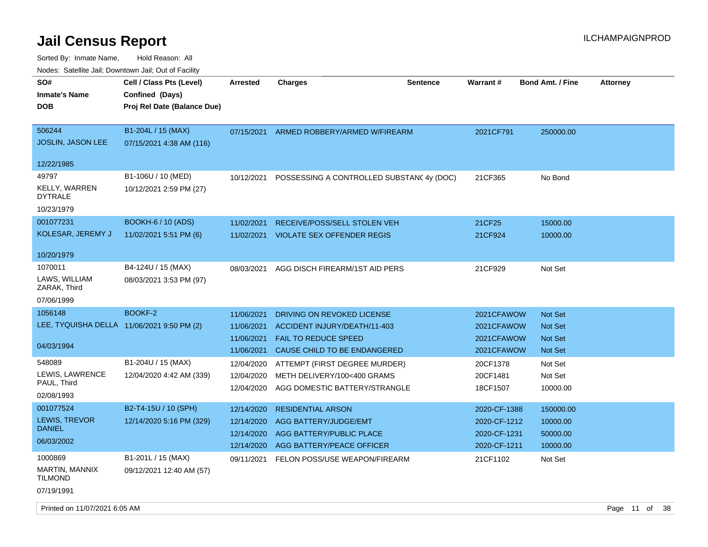| SO#<br><b>Inmate's Name</b><br><b>DOB</b>              | Cell / Class Pts (Level)<br>Confined (Days)<br>Proj Rel Date (Balance Due) | <b>Arrested</b>          | <b>Charges</b>                                                        | <b>Sentence</b> | <b>Warrant#</b>          | <b>Bond Amt. / Fine</b> | <b>Attorney</b> |  |
|--------------------------------------------------------|----------------------------------------------------------------------------|--------------------------|-----------------------------------------------------------------------|-----------------|--------------------------|-------------------------|-----------------|--|
| 506244<br><b>JOSLIN, JASON LEE</b>                     | B1-204L / 15 (MAX)<br>07/15/2021 4:38 AM (116)                             | 07/15/2021               | ARMED ROBBERY/ARMED W/FIREARM                                         |                 | 2021CF791                | 250000.00               |                 |  |
| 12/22/1985                                             |                                                                            |                          |                                                                       |                 |                          |                         |                 |  |
| 49797<br><b>KELLY, WARREN</b><br><b>DYTRALE</b>        | B1-106U / 10 (MED)<br>10/12/2021 2:59 PM (27)                              |                          | 10/12/2021 POSSESSING A CONTROLLED SUBSTANC4y (DOC)                   |                 | 21CF365                  | No Bond                 |                 |  |
| 10/23/1979<br>001077231                                | <b>BOOKH-6 / 10 (ADS)</b>                                                  |                          |                                                                       |                 |                          |                         |                 |  |
| KOLESAR, JEREMY J                                      | 11/02/2021 5:51 PM (6)                                                     | 11/02/2021               | RECEIVE/POSS/SELL STOLEN VEH<br>11/02/2021 VIOLATE SEX OFFENDER REGIS |                 | 21CF25<br>21CF924        | 15000.00<br>10000.00    |                 |  |
| 10/20/1979                                             |                                                                            |                          |                                                                       |                 |                          |                         |                 |  |
| 1070011<br>LAWS, WILLIAM<br>ZARAK, Third<br>07/06/1999 | B4-124U / 15 (MAX)<br>08/03/2021 3:53 PM (97)                              | 08/03/2021               | AGG DISCH FIREARM/1ST AID PERS                                        |                 | 21CF929                  | Not Set                 |                 |  |
| 1056148                                                | <b>BOOKF-2</b>                                                             | 11/06/2021               | DRIVING ON REVOKED LICENSE                                            |                 | 2021CFAWOW               | Not Set                 |                 |  |
| LEE, TYQUISHA DELLA 11/06/2021 9:50 PM (2)             |                                                                            | 11/06/2021               | ACCIDENT INJURY/DEATH/11-403                                          |                 | 2021CFAWOW               | Not Set                 |                 |  |
| 04/03/1994                                             |                                                                            | 11/06/2021<br>11/06/2021 | <b>FAIL TO REDUCE SPEED</b><br>CAUSE CHILD TO BE ENDANGERED           |                 | 2021CFAWOW<br>2021CFAWOW | Not Set<br>Not Set      |                 |  |
| 548089                                                 | B1-204U / 15 (MAX)                                                         | 12/04/2020               | ATTEMPT (FIRST DEGREE MURDER)                                         |                 | 20CF1378                 | Not Set                 |                 |  |
| LEWIS, LAWRENCE<br>PAUL, Third                         | 12/04/2020 4:42 AM (339)                                                   | 12/04/2020<br>12/04/2020 | METH DELIVERY/100<400 GRAMS<br>AGG DOMESTIC BATTERY/STRANGLE          |                 | 20CF1481<br>18CF1507     | Not Set<br>10000.00     |                 |  |
| 02/08/1993                                             |                                                                            |                          |                                                                       |                 |                          |                         |                 |  |
| 001077524                                              | B2-T4-15U / 10 (SPH)                                                       | 12/14/2020               | <b>RESIDENTIAL ARSON</b>                                              |                 | 2020-CF-1388             | 150000.00               |                 |  |
| LEWIS, TREVOR<br><b>DANIEL</b>                         | 12/14/2020 5:16 PM (329)                                                   | 12/14/2020               | <b>AGG BATTERY/JUDGE/EMT</b>                                          |                 | 2020-CF-1212             | 10000.00                |                 |  |
| 06/03/2002                                             |                                                                            | 12/14/2020               | <b>AGG BATTERY/PUBLIC PLACE</b>                                       |                 | 2020-CF-1231             | 50000.00                |                 |  |
| 1000869                                                | B1-201L / 15 (MAX)                                                         | 12/14/2020               | AGG BATTERY/PEACE OFFICER                                             |                 | 2020-CF-1211             | 10000.00                |                 |  |
| MARTIN, MANNIX<br><b>TILMOND</b>                       | 09/12/2021 12:40 AM (57)                                                   | 09/11/2021               | FELON POSS/USE WEAPON/FIREARM                                         |                 | 21CF1102                 | Not Set                 |                 |  |
| 07/19/1991                                             |                                                                            |                          |                                                                       |                 |                          |                         |                 |  |
| Printed on 11/07/2021 6:05 AM                          |                                                                            |                          |                                                                       |                 |                          |                         | Page 11 of 38   |  |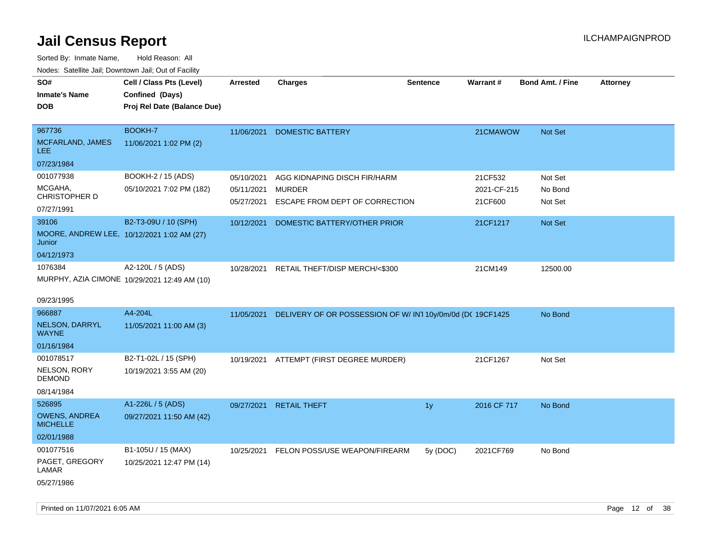| ivuutos. Saltiilit Jali, Duwilluwii Jali, Oul of Facility |                                              |                          |                                                          |                 |                 |                         |                 |
|-----------------------------------------------------------|----------------------------------------------|--------------------------|----------------------------------------------------------|-----------------|-----------------|-------------------------|-----------------|
| SO#                                                       | Cell / Class Pts (Level)                     | Arrested                 | <b>Charges</b>                                           | <b>Sentence</b> | <b>Warrant#</b> | <b>Bond Amt. / Fine</b> | <b>Attorney</b> |
| <b>Inmate's Name</b>                                      | Confined (Days)                              |                          |                                                          |                 |                 |                         |                 |
| <b>DOB</b>                                                | Proj Rel Date (Balance Due)                  |                          |                                                          |                 |                 |                         |                 |
|                                                           |                                              |                          |                                                          |                 |                 |                         |                 |
| 967736                                                    | BOOKH-7                                      | 11/06/2021               | <b>DOMESTIC BATTERY</b>                                  |                 | 21CMAWOW        | Not Set                 |                 |
| MCFARLAND, JAMES<br>LEE.                                  | 11/06/2021 1:02 PM (2)                       |                          |                                                          |                 |                 |                         |                 |
| 07/23/1984                                                |                                              |                          |                                                          |                 |                 |                         |                 |
| 001077938                                                 | BOOKH-2 / 15 (ADS)                           | 05/10/2021               | AGG KIDNAPING DISCH FIR/HARM                             |                 | 21CF532         | Not Set                 |                 |
| MCGAHA,<br>CHRISTOPHER D                                  | 05/10/2021 7:02 PM (182)                     | 05/11/2021<br>05/27/2021 | <b>MURDER</b>                                            |                 | 2021-CF-215     | No Bond                 |                 |
| 07/27/1991                                                |                                              |                          | ESCAPE FROM DEPT OF CORRECTION                           |                 | 21CF600         | Not Set                 |                 |
| 39106                                                     | B2-T3-09U / 10 (SPH)                         | 10/12/2021               | DOMESTIC BATTERY/OTHER PRIOR                             |                 | 21CF1217        | Not Set                 |                 |
| MOORE, ANDREW LEE, 10/12/2021 1:02 AM (27)<br>Junior      |                                              |                          |                                                          |                 |                 |                         |                 |
| 04/12/1973                                                |                                              |                          |                                                          |                 |                 |                         |                 |
| 1076384                                                   | A2-120L / 5 (ADS)                            | 10/28/2021               | RETAIL THEFT/DISP MERCH/<\$300                           |                 | 21CM149         | 12500.00                |                 |
|                                                           | MURPHY, AZIA CIMONE 10/29/2021 12:49 AM (10) |                          |                                                          |                 |                 |                         |                 |
|                                                           |                                              |                          |                                                          |                 |                 |                         |                 |
| 09/23/1995                                                |                                              |                          |                                                          |                 |                 |                         |                 |
| 966887                                                    | A4-204L                                      | 11/05/2021               | DELIVERY OF OR POSSESSION OF W/IN110y/0m/0d (DC 19CF1425 |                 |                 | No Bond                 |                 |
| NELSON, DARRYL<br><b>WAYNE</b>                            | 11/05/2021 11:00 AM (3)                      |                          |                                                          |                 |                 |                         |                 |
| 01/16/1984                                                |                                              |                          |                                                          |                 |                 |                         |                 |
| 001078517                                                 | B2-T1-02L / 15 (SPH)                         |                          | 10/19/2021 ATTEMPT (FIRST DEGREE MURDER)                 |                 | 21CF1267        | Not Set                 |                 |
| NELSON, RORY<br><b>DEMOND</b>                             | 10/19/2021 3:55 AM (20)                      |                          |                                                          |                 |                 |                         |                 |
| 08/14/1984                                                |                                              |                          |                                                          |                 |                 |                         |                 |
| 526895                                                    | A1-226L / 5 (ADS)                            | 09/27/2021               | <b>RETAIL THEFT</b>                                      | 1y              | 2016 CF 717     | No Bond                 |                 |
| <b>OWENS, ANDREA</b><br><b>MICHELLE</b>                   | 09/27/2021 11:50 AM (42)                     |                          |                                                          |                 |                 |                         |                 |
| 02/01/1988                                                |                                              |                          |                                                          |                 |                 |                         |                 |
| 001077516                                                 | B1-105U / 15 (MAX)                           | 10/25/2021               | FELON POSS/USE WEAPON/FIREARM                            | 5y (DOC)        | 2021CF769       | No Bond                 |                 |
| PAGET, GREGORY<br>LAMAR                                   | 10/25/2021 12:47 PM (14)                     |                          |                                                          |                 |                 |                         |                 |
| 05/27/1986                                                |                                              |                          |                                                          |                 |                 |                         |                 |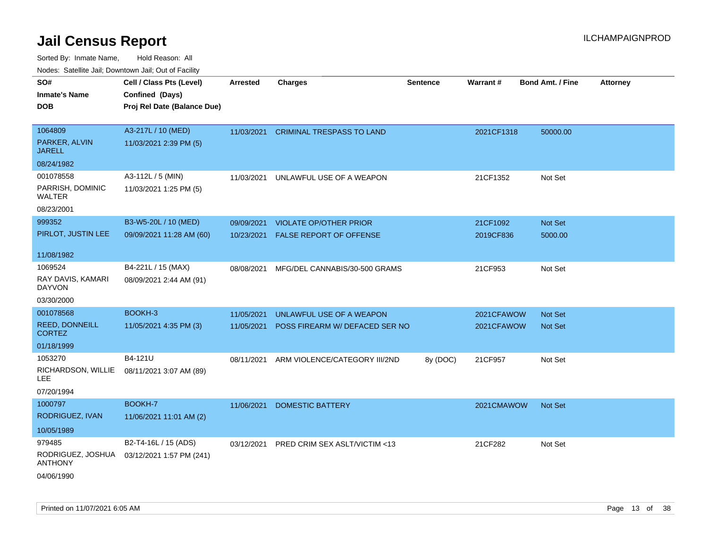| rouco. Calcillo Jali, Downtown Jali, Out of Facility |                                            |                 |                                      |                 |            |                         |                 |
|------------------------------------------------------|--------------------------------------------|-----------------|--------------------------------------|-----------------|------------|-------------------------|-----------------|
| SO#                                                  | Cell / Class Pts (Level)                   | <b>Arrested</b> | <b>Charges</b>                       | <b>Sentence</b> | Warrant#   | <b>Bond Amt. / Fine</b> | <b>Attorney</b> |
| Inmate's Name                                        | Confined (Days)                            |                 |                                      |                 |            |                         |                 |
| <b>DOB</b>                                           | Proj Rel Date (Balance Due)                |                 |                                      |                 |            |                         |                 |
|                                                      |                                            |                 |                                      |                 |            |                         |                 |
| 1064809                                              | A3-217L / 10 (MED)                         |                 | 11/03/2021 CRIMINAL TRESPASS TO LAND |                 | 2021CF1318 | 50000.00                |                 |
| PARKER, ALVIN<br><b>JARELL</b>                       | 11/03/2021 2:39 PM (5)                     |                 |                                      |                 |            |                         |                 |
| 08/24/1982                                           |                                            |                 |                                      |                 |            |                         |                 |
| 001078558                                            | A3-112L / 5 (MIN)                          | 11/03/2021      | UNLAWFUL USE OF A WEAPON             |                 | 21CF1352   | Not Set                 |                 |
| PARRISH, DOMINIC<br>WALTER                           | 11/03/2021 1:25 PM (5)                     |                 |                                      |                 |            |                         |                 |
| 08/23/2001                                           |                                            |                 |                                      |                 |            |                         |                 |
| 999352                                               | B3-W5-20L / 10 (MED)                       | 09/09/2021      | <b>VIOLATE OP/OTHER PRIOR</b>        |                 | 21CF1092   | <b>Not Set</b>          |                 |
| PIRLOT, JUSTIN LEE                                   | 09/09/2021 11:28 AM (60)                   | 10/23/2021      | <b>FALSE REPORT OF OFFENSE</b>       |                 | 2019CF836  | 5000.00                 |                 |
| 11/08/1982                                           |                                            |                 |                                      |                 |            |                         |                 |
| 1069524                                              | B4-221L / 15 (MAX)                         | 08/08/2021      | MFG/DEL CANNABIS/30-500 GRAMS        |                 | 21CF953    | Not Set                 |                 |
| RAY DAVIS, KAMARI<br>DAYVON                          | 08/09/2021 2:44 AM (91)                    |                 |                                      |                 |            |                         |                 |
| 03/30/2000                                           |                                            |                 |                                      |                 |            |                         |                 |
| 001078568                                            | BOOKH-3                                    | 11/05/2021      | UNLAWFUL USE OF A WEAPON             |                 | 2021CFAWOW | <b>Not Set</b>          |                 |
| <b>REED, DONNEILL</b><br>CORTEZ                      | 11/05/2021 4:35 PM (3)                     | 11/05/2021      | POSS FIREARM W/ DEFACED SER NO       |                 | 2021CFAWOW | <b>Not Set</b>          |                 |
| 01/18/1999                                           |                                            |                 |                                      |                 |            |                         |                 |
| 1053270                                              | B4-121U                                    | 08/11/2021      | ARM VIOLENCE/CATEGORY III/2ND        | 8y (DOC)        | 21CF957    | Not Set                 |                 |
| RICHARDSON, WILLIE<br>LEE                            | 08/11/2021 3:07 AM (89)                    |                 |                                      |                 |            |                         |                 |
| 07/20/1994                                           |                                            |                 |                                      |                 |            |                         |                 |
| 1000797                                              | <b>BOOKH-7</b>                             | 11/06/2021      | <b>DOMESTIC BATTERY</b>              |                 | 2021CMAWOW | <b>Not Set</b>          |                 |
| RODRIGUEZ, IVAN                                      | 11/06/2021 11:01 AM (2)                    |                 |                                      |                 |            |                         |                 |
| 10/05/1989                                           |                                            |                 |                                      |                 |            |                         |                 |
| 979485                                               | B2-T4-16L / 15 (ADS)                       | 03/12/2021      | PRED CRIM SEX ASLT/VICTIM <13        |                 | 21CF282    | Not Set                 |                 |
| <b>ANTHONY</b>                                       | RODRIGUEZ, JOSHUA 03/12/2021 1:57 PM (241) |                 |                                      |                 |            |                         |                 |
| 04/06/1990                                           |                                            |                 |                                      |                 |            |                         |                 |
|                                                      |                                            |                 |                                      |                 |            |                         |                 |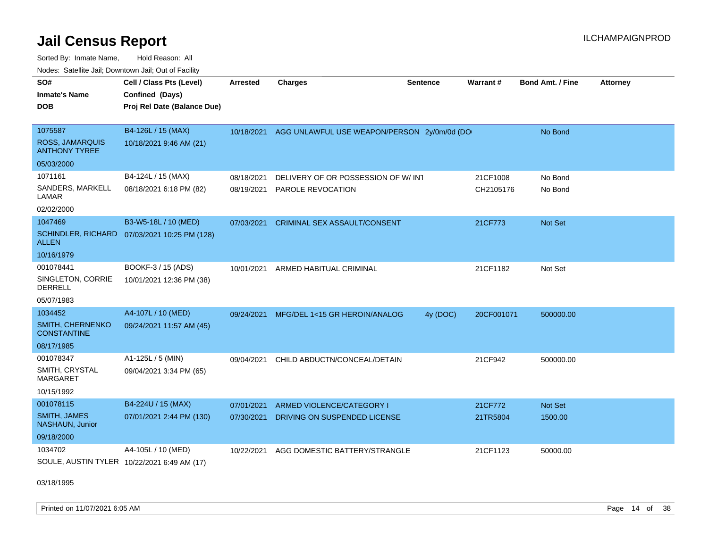Sorted By: Inmate Name, Hold Reason: All Nodes: Satellite Jail; Downtown Jail; Out of Facility

| SO#<br><b>Inmate's Name</b><br><b>DOB</b>   | Cell / Class Pts (Level)<br>Confined (Days)<br>Proj Rel Date (Balance Due) | <b>Arrested</b> | <b>Charges</b>                              | <b>Sentence</b> | <b>Warrant#</b> | Bond Amt. / Fine | <b>Attorney</b> |
|---------------------------------------------|----------------------------------------------------------------------------|-----------------|---------------------------------------------|-----------------|-----------------|------------------|-----------------|
| 1075587<br><b>ROSS, JAMARQUIS</b>           | B4-126L / 15 (MAX)<br>10/18/2021 9:46 AM (21)                              | 10/18/2021      | AGG UNLAWFUL USE WEAPON/PERSON 2y/0m/0d (DO |                 |                 | No Bond          |                 |
| <b>ANTHONY TYREE</b>                        |                                                                            |                 |                                             |                 |                 |                  |                 |
| 05/03/2000                                  |                                                                            |                 |                                             |                 |                 |                  |                 |
| 1071161                                     | B4-124L / 15 (MAX)                                                         | 08/18/2021      | DELIVERY OF OR POSSESSION OF W/ INT         |                 | 21CF1008        | No Bond          |                 |
| SANDERS, MARKELL<br>LAMAR                   | 08/18/2021 6:18 PM (82)                                                    | 08/19/2021      | PAROLE REVOCATION                           |                 | CH2105176       | No Bond          |                 |
| 02/02/2000                                  |                                                                            |                 |                                             |                 |                 |                  |                 |
| 1047469                                     | B3-W5-18L / 10 (MED)                                                       | 07/03/2021      | <b>CRIMINAL SEX ASSAULT/CONSENT</b>         |                 | 21CF773         | Not Set          |                 |
| <b>ALLEN</b>                                | SCHINDLER, RICHARD 07/03/2021 10:25 PM (128)                               |                 |                                             |                 |                 |                  |                 |
| 10/16/1979                                  |                                                                            |                 |                                             |                 |                 |                  |                 |
| 001078441                                   | BOOKF-3 / 15 (ADS)                                                         | 10/01/2021      | ARMED HABITUAL CRIMINAL                     |                 | 21CF1182        | Not Set          |                 |
| SINGLETON, CORRIE<br><b>DERRELL</b>         | 10/01/2021 12:36 PM (38)                                                   |                 |                                             |                 |                 |                  |                 |
| 05/07/1983                                  |                                                                            |                 |                                             |                 |                 |                  |                 |
| 1034452                                     | A4-107L / 10 (MED)                                                         | 09/24/2021      | MFG/DEL 1<15 GR HEROIN/ANALOG               | 4y (DOC)        | 20CF001071      | 500000.00        |                 |
| SMITH, CHERNENKO<br><b>CONSTANTINE</b>      | 09/24/2021 11:57 AM (45)                                                   |                 |                                             |                 |                 |                  |                 |
| 08/17/1985                                  |                                                                            |                 |                                             |                 |                 |                  |                 |
| 001078347                                   | A1-125L / 5 (MIN)                                                          | 09/04/2021      | CHILD ABDUCTN/CONCEAL/DETAIN                |                 | 21CF942         | 500000.00        |                 |
| SMITH, CRYSTAL<br><b>MARGARET</b>           | 09/04/2021 3:34 PM (65)                                                    |                 |                                             |                 |                 |                  |                 |
| 10/15/1992                                  |                                                                            |                 |                                             |                 |                 |                  |                 |
| 001078115                                   | B4-224U / 15 (MAX)                                                         | 07/01/2021      | ARMED VIOLENCE/CATEGORY I                   |                 | 21CF772         | Not Set          |                 |
| <b>SMITH, JAMES</b><br>NASHAUN, Junior      | 07/01/2021 2:44 PM (130)                                                   | 07/30/2021      | DRIVING ON SUSPENDED LICENSE                |                 | 21TR5804        | 1500.00          |                 |
| 09/18/2000                                  |                                                                            |                 |                                             |                 |                 |                  |                 |
| 1034702                                     | A4-105L / 10 (MED)                                                         | 10/22/2021      | AGG DOMESTIC BATTERY/STRANGLE               |                 | 21CF1123        | 50000.00         |                 |
| SOULE, AUSTIN TYLER 10/22/2021 6:49 AM (17) |                                                                            |                 |                                             |                 |                 |                  |                 |

03/18/1995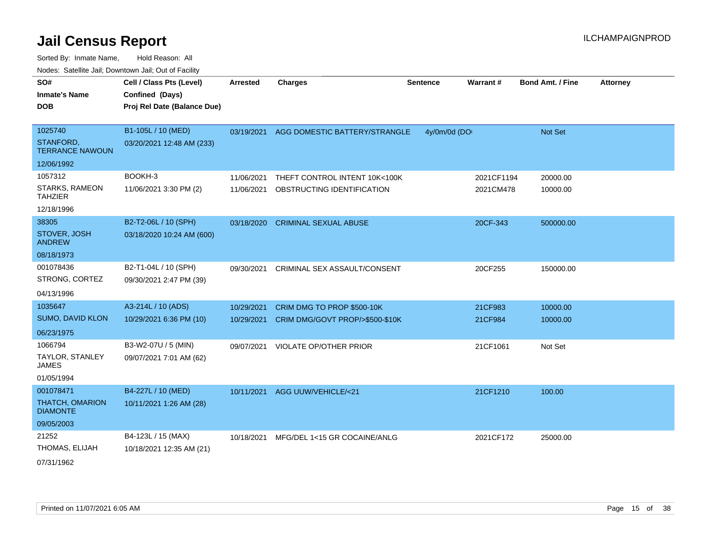Sorted By: Inmate Name, Hold Reason: All Nodes: Satellite Jail; Downtown Jail; Out of Facility

| SO#<br><b>Inmate's Name</b><br><b>DOB</b> | Cell / Class Pts (Level)<br>Confined (Days)<br>Proj Rel Date (Balance Due) | Arrested   | <b>Charges</b>                      | <b>Sentence</b> | Warrant#   | <b>Bond Amt. / Fine</b> | <b>Attorney</b> |
|-------------------------------------------|----------------------------------------------------------------------------|------------|-------------------------------------|-----------------|------------|-------------------------|-----------------|
| 1025740                                   | B1-105L / 10 (MED)                                                         | 03/19/2021 | AGG DOMESTIC BATTERY/STRANGLE       | 4y/0m/0d (DO    |            | <b>Not Set</b>          |                 |
| STANFORD,<br><b>TERRANCE NAWOUN</b>       | 03/20/2021 12:48 AM (233)                                                  |            |                                     |                 |            |                         |                 |
| 12/06/1992                                |                                                                            |            |                                     |                 |            |                         |                 |
| 1057312                                   | BOOKH-3                                                                    | 11/06/2021 | THEFT CONTROL INTENT 10K<100K       |                 | 2021CF1194 | 20000.00                |                 |
| STARKS, RAMEON<br><b>TAHZIER</b>          | 11/06/2021 3:30 PM (2)                                                     | 11/06/2021 | OBSTRUCTING IDENTIFICATION          |                 | 2021CM478  | 10000.00                |                 |
| 12/18/1996                                |                                                                            |            |                                     |                 |            |                         |                 |
| 38305                                     | B2-T2-06L / 10 (SPH)                                                       | 03/18/2020 | <b>CRIMINAL SEXUAL ABUSE</b>        |                 | 20CF-343   | 500000.00               |                 |
| STOVER, JOSH<br><b>ANDREW</b>             | 03/18/2020 10:24 AM (600)                                                  |            |                                     |                 |            |                         |                 |
| 08/18/1973                                |                                                                            |            |                                     |                 |            |                         |                 |
| 001078436                                 | B2-T1-04L / 10 (SPH)                                                       | 09/30/2021 | <b>CRIMINAL SEX ASSAULT/CONSENT</b> |                 | 20CF255    | 150000.00               |                 |
| STRONG, CORTEZ                            | 09/30/2021 2:47 PM (39)                                                    |            |                                     |                 |            |                         |                 |
| 04/13/1996                                |                                                                            |            |                                     |                 |            |                         |                 |
| 1035647                                   | A3-214L / 10 (ADS)                                                         | 10/29/2021 | CRIM DMG TO PROP \$500-10K          |                 | 21CF983    | 10000.00                |                 |
| <b>SUMO, DAVID KLON</b>                   | 10/29/2021 6:36 PM (10)                                                    | 10/29/2021 | CRIM DMG/GOVT PROP/>\$500-\$10K     |                 | 21CF984    | 10000.00                |                 |
| 06/23/1975                                |                                                                            |            |                                     |                 |            |                         |                 |
| 1066794                                   | B3-W2-07U / 5 (MIN)                                                        | 09/07/2021 | <b>VIOLATE OP/OTHER PRIOR</b>       |                 | 21CF1061   | Not Set                 |                 |
| <b>TAYLOR, STANLEY</b><br><b>JAMES</b>    | 09/07/2021 7:01 AM (62)                                                    |            |                                     |                 |            |                         |                 |
| 01/05/1994                                |                                                                            |            |                                     |                 |            |                         |                 |
| 001078471                                 | B4-227L / 10 (MED)                                                         | 10/11/2021 | AGG UUW/VEHICLE/<21                 |                 | 21CF1210   | 100.00                  |                 |
| <b>THATCH, OMARION</b><br><b>DIAMONTE</b> | 10/11/2021 1:26 AM (28)                                                    |            |                                     |                 |            |                         |                 |
| 09/05/2003                                |                                                                            |            |                                     |                 |            |                         |                 |
| 21252                                     | B4-123L / 15 (MAX)                                                         | 10/18/2021 | MFG/DEL 1<15 GR COCAINE/ANLG        |                 | 2021CF172  | 25000.00                |                 |
| THOMAS, ELIJAH                            | 10/18/2021 12:35 AM (21)                                                   |            |                                     |                 |            |                         |                 |
|                                           |                                                                            |            |                                     |                 |            |                         |                 |

07/31/1962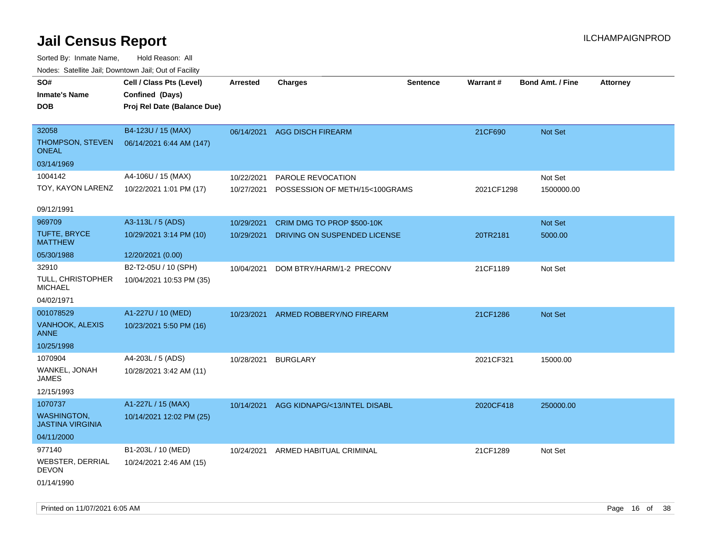| ivuutos. Saltiilit Jali, Duwilluwii Jali, Oul of Facility |                             |                 |                                |                 |            |                         |                 |
|-----------------------------------------------------------|-----------------------------|-----------------|--------------------------------|-----------------|------------|-------------------------|-----------------|
| SO#                                                       | Cell / Class Pts (Level)    | <b>Arrested</b> | <b>Charges</b>                 | <b>Sentence</b> | Warrant#   | <b>Bond Amt. / Fine</b> | <b>Attorney</b> |
| <b>Inmate's Name</b>                                      | Confined (Days)             |                 |                                |                 |            |                         |                 |
| DOB                                                       | Proj Rel Date (Balance Due) |                 |                                |                 |            |                         |                 |
|                                                           |                             |                 |                                |                 |            |                         |                 |
| 32058                                                     | B4-123U / 15 (MAX)          | 06/14/2021      | <b>AGG DISCH FIREARM</b>       |                 | 21CF690    | Not Set                 |                 |
| <b>THOMPSON, STEVEN</b><br><b>ONEAL</b>                   | 06/14/2021 6:44 AM (147)    |                 |                                |                 |            |                         |                 |
| 03/14/1969                                                |                             |                 |                                |                 |            |                         |                 |
| 1004142                                                   | A4-106U / 15 (MAX)          | 10/22/2021      | PAROLE REVOCATION              |                 |            | Not Set                 |                 |
| TOY, KAYON LARENZ                                         | 10/22/2021 1:01 PM (17)     | 10/27/2021      | POSSESSION OF METH/15<100GRAMS |                 | 2021CF1298 | 1500000.00              |                 |
|                                                           |                             |                 |                                |                 |            |                         |                 |
| 09/12/1991                                                |                             |                 |                                |                 |            |                         |                 |
| 969709                                                    | A3-113L / 5 (ADS)           | 10/29/2021      | CRIM DMG TO PROP \$500-10K     |                 |            | Not Set                 |                 |
| TUFTE, BRYCE<br><b>MATTHEW</b>                            | 10/29/2021 3:14 PM (10)     | 10/29/2021      | DRIVING ON SUSPENDED LICENSE   |                 | 20TR2181   | 5000.00                 |                 |
| 05/30/1988                                                | 12/20/2021 (0.00)           |                 |                                |                 |            |                         |                 |
| 32910                                                     | B2-T2-05U / 10 (SPH)        | 10/04/2021      | DOM BTRY/HARM/1-2 PRECONV      |                 | 21CF1189   | Not Set                 |                 |
| <b>TULL, CHRISTOPHER</b><br><b>MICHAEL</b>                | 10/04/2021 10:53 PM (35)    |                 |                                |                 |            |                         |                 |
| 04/02/1971                                                |                             |                 |                                |                 |            |                         |                 |
| 001078529                                                 | A1-227U / 10 (MED)          | 10/23/2021      | ARMED ROBBERY/NO FIREARM       |                 | 21CF1286   | Not Set                 |                 |
| <b>VANHOOK, ALEXIS</b><br><b>ANNE</b>                     | 10/23/2021 5:50 PM (16)     |                 |                                |                 |            |                         |                 |
| 10/25/1998                                                |                             |                 |                                |                 |            |                         |                 |
| 1070904                                                   | A4-203L / 5 (ADS)           | 10/28/2021      | <b>BURGLARY</b>                |                 | 2021CF321  | 15000.00                |                 |
| WANKEL, JONAH<br>JAMES                                    | 10/28/2021 3:42 AM (11)     |                 |                                |                 |            |                         |                 |
| 12/15/1993                                                |                             |                 |                                |                 |            |                         |                 |
| 1070737                                                   | A1-227L / 15 (MAX)          | 10/14/2021      | AGG KIDNAPG/<13/INTEL DISABL   |                 | 2020CF418  | 250000.00               |                 |
| <b>WASHINGTON.</b><br><b>JASTINA VIRGINIA</b>             | 10/14/2021 12:02 PM (25)    |                 |                                |                 |            |                         |                 |
| 04/11/2000                                                |                             |                 |                                |                 |            |                         |                 |
| 977140                                                    | B1-203L / 10 (MED)          | 10/24/2021      | ARMED HABITUAL CRIMINAL        |                 | 21CF1289   | Not Set                 |                 |
| WEBSTER, DERRIAL<br>DEVON                                 | 10/24/2021 2:46 AM (15)     |                 |                                |                 |            |                         |                 |
| 01/14/1990                                                |                             |                 |                                |                 |            |                         |                 |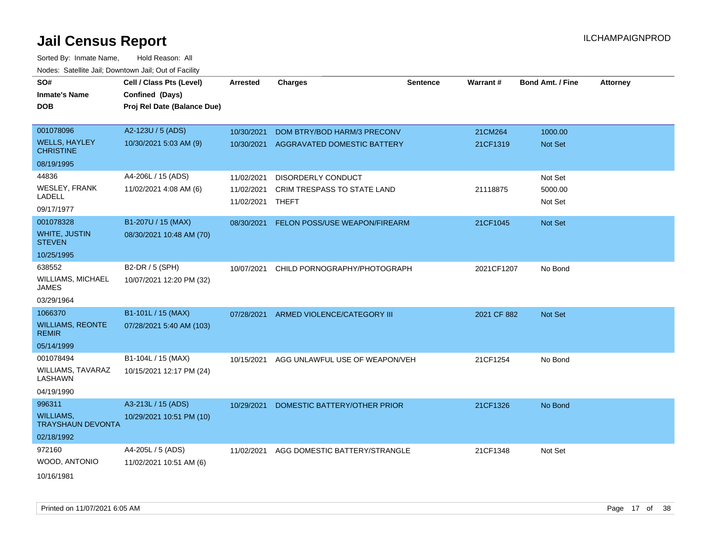| SO#                                      | Cell / Class Pts (Level)    | <b>Arrested</b> | <b>Charges</b>                         | <b>Sentence</b> | Warrant#    | <b>Bond Amt. / Fine</b> | <b>Attorney</b> |
|------------------------------------------|-----------------------------|-----------------|----------------------------------------|-----------------|-------------|-------------------------|-----------------|
| <b>Inmate's Name</b>                     | Confined (Days)             |                 |                                        |                 |             |                         |                 |
| <b>DOB</b>                               | Proj Rel Date (Balance Due) |                 |                                        |                 |             |                         |                 |
|                                          |                             |                 |                                        |                 |             |                         |                 |
| 001078096                                | A2-123U / 5 (ADS)           | 10/30/2021      | DOM BTRY/BOD HARM/3 PRECONV            |                 | 21CM264     | 1000.00                 |                 |
| <b>WELLS, HAYLEY</b><br><b>CHRISTINE</b> | 10/30/2021 5:03 AM (9)      |                 | 10/30/2021 AGGRAVATED DOMESTIC BATTERY |                 | 21CF1319    | Not Set                 |                 |
| 08/19/1995                               |                             |                 |                                        |                 |             |                         |                 |
| 44836                                    | A4-206L / 15 (ADS)          | 11/02/2021      | <b>DISORDERLY CONDUCT</b>              |                 |             | Not Set                 |                 |
| WESLEY, FRANK                            | 11/02/2021 4:08 AM (6)      | 11/02/2021      | CRIM TRESPASS TO STATE LAND            |                 | 21118875    | 5000.00                 |                 |
| LADELL                                   |                             | 11/02/2021      | THEFT                                  |                 |             | Not Set                 |                 |
| 09/17/1977                               |                             |                 |                                        |                 |             |                         |                 |
| 001078328                                | B1-207U / 15 (MAX)          | 08/30/2021      | <b>FELON POSS/USE WEAPON/FIREARM</b>   |                 | 21CF1045    | Not Set                 |                 |
| WHITE, JUSTIN<br><b>STEVEN</b>           | 08/30/2021 10:48 AM (70)    |                 |                                        |                 |             |                         |                 |
| 10/25/1995                               |                             |                 |                                        |                 |             |                         |                 |
| 638552                                   | B2-DR / 5 (SPH)             | 10/07/2021      | CHILD PORNOGRAPHY/PHOTOGRAPH           |                 | 2021CF1207  | No Bond                 |                 |
| <b>WILLIAMS, MICHAEL</b><br><b>JAMES</b> | 10/07/2021 12:20 PM (32)    |                 |                                        |                 |             |                         |                 |
| 03/29/1964                               |                             |                 |                                        |                 |             |                         |                 |
| 1066370                                  | B1-101L / 15 (MAX)          | 07/28/2021      | ARMED VIOLENCE/CATEGORY III            |                 | 2021 CF 882 | Not Set                 |                 |
| <b>WILLIAMS, REONTE</b><br><b>REMIR</b>  | 07/28/2021 5:40 AM (103)    |                 |                                        |                 |             |                         |                 |
| 05/14/1999                               |                             |                 |                                        |                 |             |                         |                 |
| 001078494                                | B1-104L / 15 (MAX)          | 10/15/2021      | AGG UNLAWFUL USE OF WEAPON/VEH         |                 | 21CF1254    | No Bond                 |                 |
| <b>WILLIAMS, TAVARAZ</b><br>LASHAWN      | 10/15/2021 12:17 PM (24)    |                 |                                        |                 |             |                         |                 |
| 04/19/1990                               |                             |                 |                                        |                 |             |                         |                 |
| 996311                                   | A3-213L / 15 (ADS)          | 10/29/2021      | DOMESTIC BATTERY/OTHER PRIOR           |                 | 21CF1326    | No Bond                 |                 |
| WILLIAMS,<br><b>TRAYSHAUN DEVONTA</b>    | 10/29/2021 10:51 PM (10)    |                 |                                        |                 |             |                         |                 |
| 02/18/1992                               |                             |                 |                                        |                 |             |                         |                 |
| 972160                                   | A4-205L / 5 (ADS)           | 11/02/2021      | AGG DOMESTIC BATTERY/STRANGLE          |                 | 21CF1348    | Not Set                 |                 |
| WOOD, ANTONIO                            | 11/02/2021 10:51 AM (6)     |                 |                                        |                 |             |                         |                 |
| 10/16/1981                               |                             |                 |                                        |                 |             |                         |                 |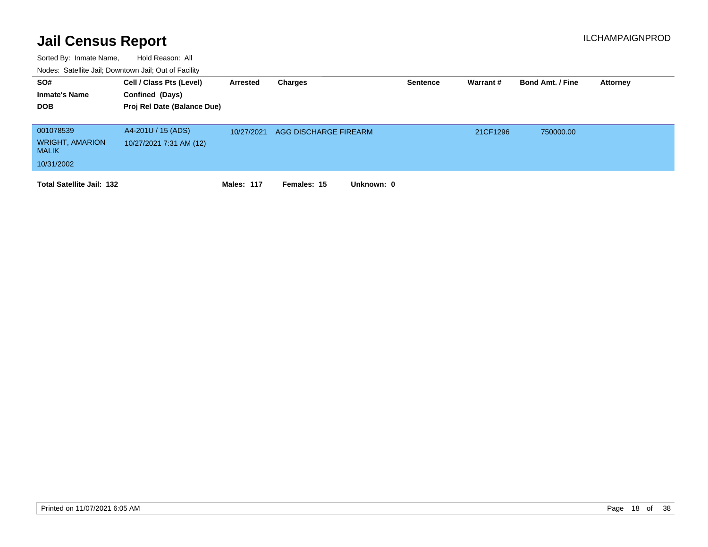| SO#<br><b>Inmate's Name</b><br><b>DOB</b> | Cell / Class Pts (Level)<br>Confined (Days)<br>Proj Rel Date (Balance Due) | Arrested   | Charges                   | <b>Sentence</b> | Warrant # | <b>Bond Amt. / Fine</b> | Attorney |
|-------------------------------------------|----------------------------------------------------------------------------|------------|---------------------------|-----------------|-----------|-------------------------|----------|
| 001078539<br><b>WRIGHT, AMARION</b>       | A4-201U / 15 (ADS)<br>10/27/2021 7:31 AM (12)                              | 10/27/2021 | AGG DISCHARGE FIREARM     |                 | 21CF1296  | 750000.00               |          |
| <b>MALIK</b>                              |                                                                            |            |                           |                 |           |                         |          |
| 10/31/2002                                |                                                                            |            |                           |                 |           |                         |          |
| <b>Total Satellite Jail: 132</b>          |                                                                            | Males: 117 | Unknown: 0<br>Females: 15 |                 |           |                         |          |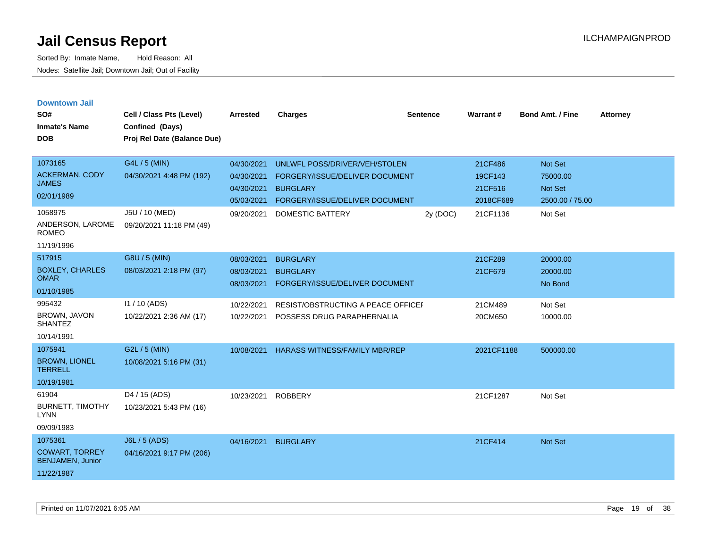| <b>Downtown Jail</b> |  |
|----------------------|--|
|                      |  |

| SO#<br><b>Inmate's Name</b><br><b>DOB</b>                                 | Cell / Class Pts (Level)<br>Confined (Days)<br>Proj Rel Date (Balance Due) | <b>Arrested</b>                                      | <b>Charges</b>                                                                                                       | <b>Sentence</b> | Warrant#                                   | <b>Bond Amt. / Fine</b>                           | <b>Attorney</b> |
|---------------------------------------------------------------------------|----------------------------------------------------------------------------|------------------------------------------------------|----------------------------------------------------------------------------------------------------------------------|-----------------|--------------------------------------------|---------------------------------------------------|-----------------|
| 1073165<br><b>ACKERMAN, CODY</b><br><b>JAMES</b><br>02/01/1989            | G4L / 5 (MIN)<br>04/30/2021 4:48 PM (192)                                  | 04/30/2021<br>04/30/2021<br>04/30/2021<br>05/03/2021 | UNLWFL POSS/DRIVER/VEH/STOLEN<br>FORGERY/ISSUE/DELIVER DOCUMENT<br><b>BURGLARY</b><br>FORGERY/ISSUE/DELIVER DOCUMENT |                 | 21CF486<br>19CF143<br>21CF516<br>2018CF689 | Not Set<br>75000.00<br>Not Set<br>2500.00 / 75.00 |                 |
| 1058975<br>ANDERSON, LAROME<br><b>ROMEO</b><br>11/19/1996                 | J5U / 10 (MED)<br>09/20/2021 11:18 PM (49)                                 | 09/20/2021                                           | <b>DOMESTIC BATTERY</b>                                                                                              | 2y (DOC)        | 21CF1136                                   | Not Set                                           |                 |
| 517915<br><b>BOXLEY, CHARLES</b><br><b>OMAR</b><br>01/10/1985             | G8U / 5 (MIN)<br>08/03/2021 2:18 PM (97)                                   | 08/03/2021<br>08/03/2021<br>08/03/2021               | <b>BURGLARY</b><br><b>BURGLARY</b><br>FORGERY/ISSUE/DELIVER DOCUMENT                                                 |                 | 21CF289<br>21CF679                         | 20000.00<br>20000.00<br>No Bond                   |                 |
| 995432<br><b>BROWN, JAVON</b><br><b>SHANTEZ</b><br>10/14/1991             | $11/10$ (ADS)<br>10/22/2021 2:36 AM (17)                                   | 10/22/2021<br>10/22/2021                             | RESIST/OBSTRUCTING A PEACE OFFICEI<br>POSSESS DRUG PARAPHERNALIA                                                     |                 | 21CM489<br>20CM650                         | Not Set<br>10000.00                               |                 |
| 1075941<br><b>BROWN, LIONEL</b><br><b>TERRELL</b><br>10/19/1981           | G2L / 5 (MIN)<br>10/08/2021 5:16 PM (31)                                   | 10/08/2021                                           | <b>HARASS WITNESS/FAMILY MBR/REP</b>                                                                                 |                 | 2021CF1188                                 | 500000.00                                         |                 |
| 61904<br><b>BURNETT, TIMOTHY</b><br><b>LYNN</b><br>09/09/1983             | D4 / 15 (ADS)<br>10/23/2021 5:43 PM (16)                                   | 10/23/2021                                           | <b>ROBBERY</b>                                                                                                       |                 | 21CF1287                                   | Not Set                                           |                 |
| 1075361<br><b>COWART, TORREY</b><br><b>BENJAMEN, Junior</b><br>11/22/1987 | <b>J6L / 5 (ADS)</b><br>04/16/2021 9:17 PM (206)                           | 04/16/2021                                           | <b>BURGLARY</b>                                                                                                      |                 | 21CF414                                    | Not Set                                           |                 |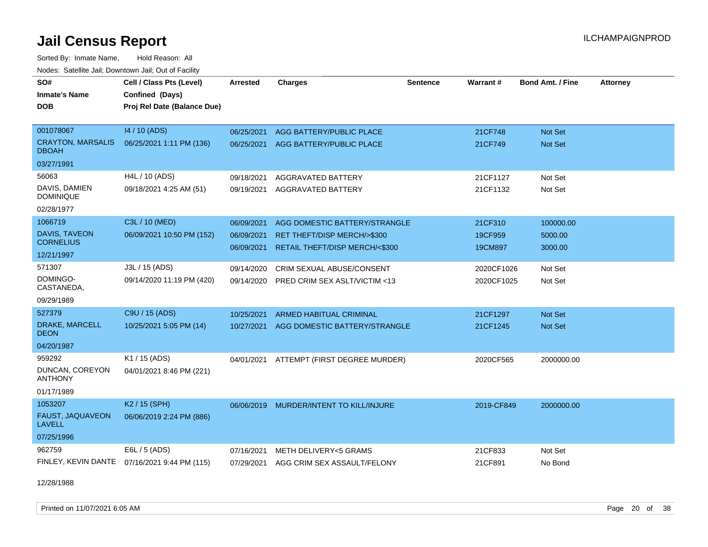Sorted By: Inmate Name, Hold Reason: All

| Nodes: Satellite Jail; Downtown Jail; Out of Facility |                                              |                 |                                        |                 |            |                         |                 |  |  |  |
|-------------------------------------------------------|----------------------------------------------|-----------------|----------------------------------------|-----------------|------------|-------------------------|-----------------|--|--|--|
| SO#                                                   | Cell / Class Pts (Level)                     | <b>Arrested</b> | <b>Charges</b>                         | <b>Sentence</b> | Warrant#   | <b>Bond Amt. / Fine</b> | <b>Attorney</b> |  |  |  |
| <b>Inmate's Name</b>                                  | Confined (Days)                              |                 |                                        |                 |            |                         |                 |  |  |  |
| <b>DOB</b>                                            | Proj Rel Date (Balance Due)                  |                 |                                        |                 |            |                         |                 |  |  |  |
|                                                       |                                              |                 |                                        |                 |            |                         |                 |  |  |  |
| 001078067                                             | 14 / 10 (ADS)                                | 06/25/2021      | AGG BATTERY/PUBLIC PLACE               |                 | 21CF748    | <b>Not Set</b>          |                 |  |  |  |
| <b>CRAYTON, MARSALIS</b><br><b>DBOAH</b>              | 06/25/2021 1:11 PM (136)                     | 06/25/2021      | AGG BATTERY/PUBLIC PLACE               |                 | 21CF749    | Not Set                 |                 |  |  |  |
| 03/27/1991                                            |                                              |                 |                                        |                 |            |                         |                 |  |  |  |
| 56063                                                 | H4L / 10 (ADS)                               | 09/18/2021      | AGGRAVATED BATTERY                     |                 | 21CF1127   | Not Set                 |                 |  |  |  |
| DAVIS, DAMIEN<br><b>DOMINIQUE</b>                     | 09/18/2021 4:25 AM (51)                      | 09/19/2021      | AGGRAVATED BATTERY                     |                 | 21CF1132   | Not Set                 |                 |  |  |  |
| 02/28/1977                                            |                                              |                 |                                        |                 |            |                         |                 |  |  |  |
| 1066719                                               | C3L / 10 (MED)                               | 06/09/2021      | AGG DOMESTIC BATTERY/STRANGLE          |                 | 21CF310    | 100000.00               |                 |  |  |  |
| <b>DAVIS, TAVEON</b>                                  | 06/09/2021 10:50 PM (152)                    | 06/09/2021      | RET THEFT/DISP MERCH/>\$300            |                 | 19CF959    | 5000.00                 |                 |  |  |  |
| <b>CORNELIUS</b>                                      |                                              | 06/09/2021      | RETAIL THEFT/DISP MERCH/<\$300         |                 | 19CM897    | 3000.00                 |                 |  |  |  |
| 12/21/1997                                            |                                              |                 |                                        |                 |            |                         |                 |  |  |  |
| 571307                                                | J3L / 15 (ADS)                               | 09/14/2020      | CRIM SEXUAL ABUSE/CONSENT              |                 | 2020CF1026 | Not Set                 |                 |  |  |  |
| DOMINGO-<br>CASTANEDA,                                | 09/14/2020 11:19 PM (420)                    | 09/14/2020      | PRED CRIM SEX ASLT/VICTIM <13          |                 | 2020CF1025 | Not Set                 |                 |  |  |  |
| 09/29/1989                                            |                                              |                 |                                        |                 |            |                         |                 |  |  |  |
| 527379                                                | C9U / 15 (ADS)                               | 10/25/2021      | <b>ARMED HABITUAL CRIMINAL</b>         |                 | 21CF1297   | <b>Not Set</b>          |                 |  |  |  |
| DRAKE, MARCELL<br><b>DEON</b>                         | 10/25/2021 5:05 PM (14)                      | 10/27/2021      | AGG DOMESTIC BATTERY/STRANGLE          |                 | 21CF1245   | <b>Not Set</b>          |                 |  |  |  |
| 04/20/1987                                            |                                              |                 |                                        |                 |            |                         |                 |  |  |  |
| 959292                                                | K1 / 15 (ADS)                                | 04/01/2021      | ATTEMPT (FIRST DEGREE MURDER)          |                 | 2020CF565  | 2000000.00              |                 |  |  |  |
| DUNCAN, COREYON<br><b>ANTHONY</b>                     | 04/01/2021 8:46 PM (221)                     |                 |                                        |                 |            |                         |                 |  |  |  |
| 01/17/1989                                            |                                              |                 |                                        |                 |            |                         |                 |  |  |  |
| 1053207                                               | K2 / 15 (SPH)                                | 06/06/2019      | MURDER/INTENT TO KILL/INJURE           |                 | 2019-CF849 | 2000000.00              |                 |  |  |  |
| FAUST, JAQUAVEON<br><b>LAVELL</b>                     | 06/06/2019 2:24 PM (886)                     |                 |                                        |                 |            |                         |                 |  |  |  |
| 07/25/1996                                            |                                              |                 |                                        |                 |            |                         |                 |  |  |  |
| 962759                                                | E6L / 5 (ADS)                                | 07/16/2021      | METH DELIVERY<5 GRAMS                  |                 | 21CF833    | Not Set                 |                 |  |  |  |
|                                                       | FINLEY, KEVIN DANTE 07/16/2021 9:44 PM (115) |                 | 07/29/2021 AGG CRIM SEX ASSAULT/FELONY |                 | 21CF891    | No Bond                 |                 |  |  |  |

12/28/1988

Printed on 11/07/2021 6:05 AM **Page 20 of 38**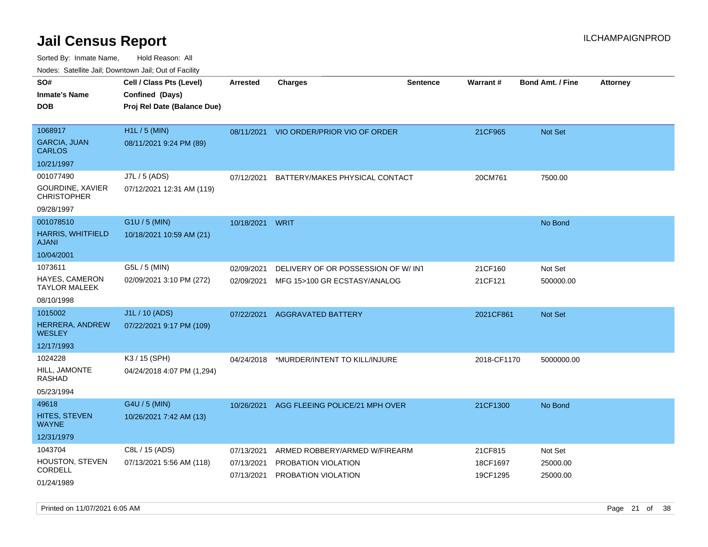CORDELL

01/24/1989

Sorted By: Inmate Name, Hold Reason: All Nodes:

|                                          | Nodes: Satellite Jail; Downtown Jail; Out of Facility |                 |                                    |                 |             |                         |          |  |  |  |  |  |
|------------------------------------------|-------------------------------------------------------|-----------------|------------------------------------|-----------------|-------------|-------------------------|----------|--|--|--|--|--|
| SO#                                      | Cell / Class Pts (Level)                              | <b>Arrested</b> | <b>Charges</b>                     | <b>Sentence</b> | Warrant#    | <b>Bond Amt. / Fine</b> | Attorney |  |  |  |  |  |
| <b>Inmate's Name</b>                     | Confined (Days)                                       |                 |                                    |                 |             |                         |          |  |  |  |  |  |
| <b>DOB</b>                               | Proj Rel Date (Balance Due)                           |                 |                                    |                 |             |                         |          |  |  |  |  |  |
|                                          |                                                       |                 |                                    |                 |             |                         |          |  |  |  |  |  |
| 1068917                                  | H1L / 5 (MIN)                                         | 08/11/2021      | VIO ORDER/PRIOR VIO OF ORDER       |                 | 21CF965     | Not Set                 |          |  |  |  |  |  |
| <b>GARCIA, JUAN</b><br><b>CARLOS</b>     | 08/11/2021 9:24 PM (89)                               |                 |                                    |                 |             |                         |          |  |  |  |  |  |
| 10/21/1997                               |                                                       |                 |                                    |                 |             |                         |          |  |  |  |  |  |
| 001077490                                | J7L / 5 (ADS)                                         | 07/12/2021      | BATTERY/MAKES PHYSICAL CONTACT     |                 | 20CM761     | 7500.00                 |          |  |  |  |  |  |
| GOURDINE, XAVIER<br><b>CHRISTOPHER</b>   | 07/12/2021 12:31 AM (119)                             |                 |                                    |                 |             |                         |          |  |  |  |  |  |
| 09/28/1997                               |                                                       |                 |                                    |                 |             |                         |          |  |  |  |  |  |
| 001078510                                | G1U / 5 (MIN)                                         | 10/18/2021      | <b>WRIT</b>                        |                 |             | No Bond                 |          |  |  |  |  |  |
| <b>HARRIS, WHITFIELD</b><br><b>AJANI</b> | 10/18/2021 10:59 AM (21)                              |                 |                                    |                 |             |                         |          |  |  |  |  |  |
| 10/04/2001                               |                                                       |                 |                                    |                 |             |                         |          |  |  |  |  |  |
| 1073611                                  | G5L / 5 (MIN)                                         | 02/09/2021      | DELIVERY OF OR POSSESSION OF W/INT |                 | 21CF160     | Not Set                 |          |  |  |  |  |  |
| HAYES, CAMERON<br><b>TAYLOR MALEEK</b>   | 02/09/2021 3:10 PM (272)                              | 02/09/2021      | MFG 15>100 GR ECSTASY/ANALOG       |                 | 21CF121     | 500000.00               |          |  |  |  |  |  |
| 08/10/1998                               |                                                       |                 |                                    |                 |             |                         |          |  |  |  |  |  |
| 1015002                                  | J1L / 10 (ADS)                                        | 07/22/2021      | <b>AGGRAVATED BATTERY</b>          |                 | 2021CF861   | Not Set                 |          |  |  |  |  |  |
| <b>HERRERA, ANDREW</b><br><b>WESLEY</b>  | 07/22/2021 9:17 PM (109)                              |                 |                                    |                 |             |                         |          |  |  |  |  |  |
| 12/17/1993                               |                                                       |                 |                                    |                 |             |                         |          |  |  |  |  |  |
| 1024228                                  | K3 / 15 (SPH)                                         | 04/24/2018      | *MURDER/INTENT TO KILL/INJURE      |                 | 2018-CF1170 | 5000000.00              |          |  |  |  |  |  |
| HILL, JAMONTE<br><b>RASHAD</b>           | 04/24/2018 4:07 PM (1,294)                            |                 |                                    |                 |             |                         |          |  |  |  |  |  |
| 05/23/1994                               |                                                       |                 |                                    |                 |             |                         |          |  |  |  |  |  |
| 49618                                    | G4U / 5 (MIN)                                         | 10/26/2021      | AGG FLEEING POLICE/21 MPH OVER     |                 | 21CF1300    | No Bond                 |          |  |  |  |  |  |
| <b>HITES, STEVEN</b><br><b>WAYNE</b>     | 10/26/2021 7:42 AM (13)                               |                 |                                    |                 |             |                         |          |  |  |  |  |  |
| 12/31/1979                               |                                                       |                 |                                    |                 |             |                         |          |  |  |  |  |  |

07/13/2021 ARMED ROBBERY/ARMED W/FIREARM 21CF815 Not Set 07/13/2021 PROBATION VIOLATION 18CF1697 25000.00 07/13/2021 PROBATION VIOLATION 19CF1295 25000.00

1043704 C8L / 15 (ADS)

07/13/2021 5:56 AM (118)

HOUSTON, STEVEN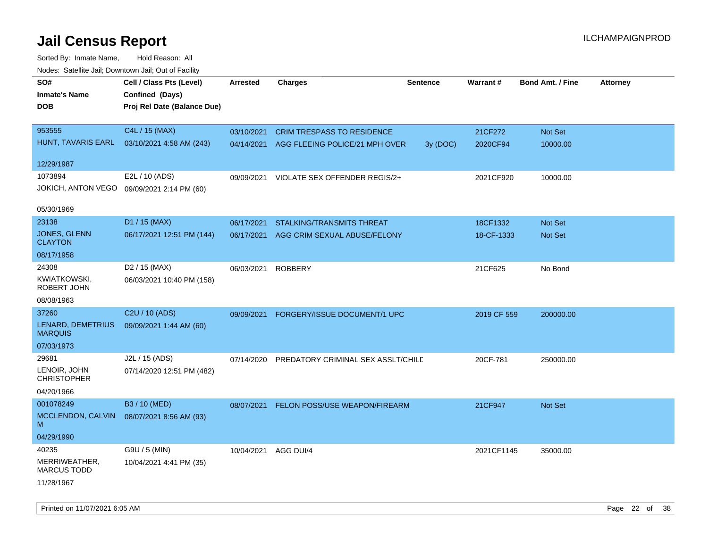| SO#<br>Inmate's Name<br><b>DOB</b>  | Cell / Class Pts (Level)<br>Confined (Days)<br>Proj Rel Date (Balance Due) | <b>Arrested</b> | <b>Charges</b>                       | <b>Sentence</b> | Warrant#    | <b>Bond Amt. / Fine</b> | Attorney |
|-------------------------------------|----------------------------------------------------------------------------|-----------------|--------------------------------------|-----------------|-------------|-------------------------|----------|
| 953555                              | C4L / 15 (MAX)                                                             | 03/10/2021      | <b>CRIM TRESPASS TO RESIDENCE</b>    |                 | 21CF272     | Not Set                 |          |
| HUNT, TAVARIS EARL                  | 03/10/2021 4:58 AM (243)                                                   | 04/14/2021      | AGG FLEEING POLICE/21 MPH OVER       | 3y (DOC)        | 2020CF94    | 10000.00                |          |
| 12/29/1987                          |                                                                            |                 |                                      |                 |             |                         |          |
| 1073894                             | E2L / 10 (ADS)                                                             | 09/09/2021      | VIOLATE SEX OFFENDER REGIS/2+        |                 | 2021CF920   | 10000.00                |          |
| JOKICH, ANTON VEGO                  | 09/09/2021 2:14 PM (60)                                                    |                 |                                      |                 |             |                         |          |
| 05/30/1969                          |                                                                            |                 |                                      |                 |             |                         |          |
| 23138                               | D1 / 15 (MAX)                                                              | 06/17/2021      | <b>STALKING/TRANSMITS THREAT</b>     |                 | 18CF1332    | <b>Not Set</b>          |          |
| JONES, GLENN<br><b>CLAYTON</b>      | 06/17/2021 12:51 PM (144)                                                  | 06/17/2021      | AGG CRIM SEXUAL ABUSE/FELONY         |                 | 18-CF-1333  | Not Set                 |          |
| 08/17/1958                          |                                                                            |                 |                                      |                 |             |                         |          |
| 24308                               | D <sub>2</sub> / 15 (MAX)                                                  | 06/03/2021      | <b>ROBBERY</b>                       |                 | 21CF625     | No Bond                 |          |
| KWIATKOWSKI,<br>ROBERT JOHN         | 06/03/2021 10:40 PM (158)                                                  |                 |                                      |                 |             |                         |          |
| 08/08/1963                          |                                                                            |                 |                                      |                 |             |                         |          |
| 37260                               | C2U / 10 (ADS)                                                             | 09/09/2021      | FORGERY/ISSUE DOCUMENT/1 UPC         |                 | 2019 CF 559 | 200000.00               |          |
| LENARD, DEMETRIUS<br><b>MARQUIS</b> | 09/09/2021 1:44 AM (60)                                                    |                 |                                      |                 |             |                         |          |
| 07/03/1973                          |                                                                            |                 |                                      |                 |             |                         |          |
| 29681                               | J2L / 15 (ADS)                                                             | 07/14/2020      | PREDATORY CRIMINAL SEX ASSLT/CHILD   |                 | 20CF-781    | 250000.00               |          |
| LENOIR, JOHN<br>CHRISTOPHER         | 07/14/2020 12:51 PM (482)                                                  |                 |                                      |                 |             |                         |          |
| 04/20/1966                          |                                                                            |                 |                                      |                 |             |                         |          |
| 001078249                           | B3 / 10 (MED)                                                              | 08/07/2021      | <b>FELON POSS/USE WEAPON/FIREARM</b> |                 | 21CF947     | Not Set                 |          |
| MCCLENDON, CALVIN<br>M              | 08/07/2021 8:56 AM (93)                                                    |                 |                                      |                 |             |                         |          |
| 04/29/1990                          |                                                                            |                 |                                      |                 |             |                         |          |
| 40235                               | G9U / 5 (MIN)                                                              | 10/04/2021      | AGG DUI/4                            |                 | 2021CF1145  | 35000.00                |          |
| MERRIWEATHER,<br><b>MARCUS TODD</b> | 10/04/2021 4:41 PM (35)                                                    |                 |                                      |                 |             |                         |          |
| 11/28/1967                          |                                                                            |                 |                                      |                 |             |                         |          |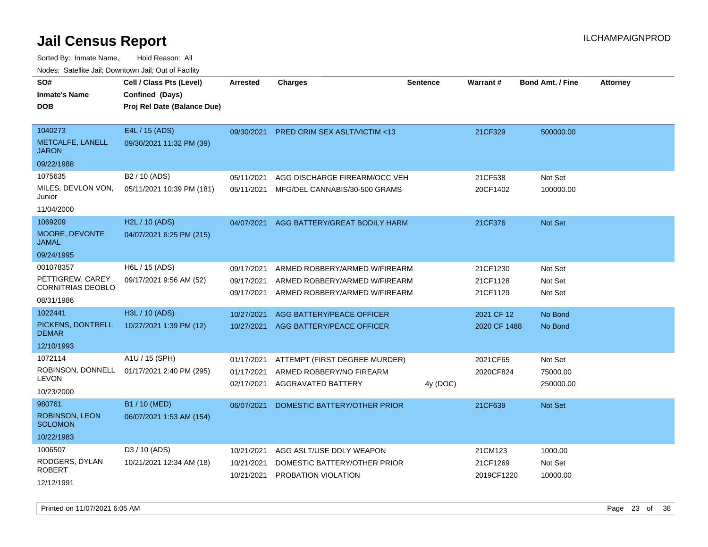Sorted By: Inmate Name, Hold Reason: All

| Nodes: Satellite Jail; Downtown Jail; Out of Facility |                             |                          |                                                                |                 |                        |                         |                 |
|-------------------------------------------------------|-----------------------------|--------------------------|----------------------------------------------------------------|-----------------|------------------------|-------------------------|-----------------|
| SO#                                                   | Cell / Class Pts (Level)    | <b>Arrested</b>          | <b>Charges</b>                                                 | <b>Sentence</b> | Warrant#               | <b>Bond Amt. / Fine</b> | <b>Attorney</b> |
| <b>Inmate's Name</b>                                  | Confined (Days)             |                          |                                                                |                 |                        |                         |                 |
| <b>DOB</b>                                            | Proj Rel Date (Balance Due) |                          |                                                                |                 |                        |                         |                 |
|                                                       |                             |                          |                                                                |                 |                        |                         |                 |
| 1040273                                               | E4L / 15 (ADS)              | 09/30/2021               | <b>PRED CRIM SEX ASLT/VICTIM &lt;13</b>                        |                 | 21CF329                | 500000.00               |                 |
| METCALFE, LANELL<br><b>JARON</b>                      | 09/30/2021 11:32 PM (39)    |                          |                                                                |                 |                        |                         |                 |
| 09/22/1988                                            |                             |                          |                                                                |                 |                        |                         |                 |
| 1075635                                               | B <sub>2</sub> / 10 (ADS)   | 05/11/2021               | AGG DISCHARGE FIREARM/OCC VEH                                  |                 | 21CF538                | Not Set                 |                 |
| MILES, DEVLON VON,<br>Junior                          | 05/11/2021 10:39 PM (181)   | 05/11/2021               | MFG/DEL CANNABIS/30-500 GRAMS                                  |                 | 20CF1402               | 100000.00               |                 |
| 11/04/2000                                            |                             |                          |                                                                |                 |                        |                         |                 |
| 1069209                                               | H <sub>2</sub> L / 10 (ADS) | 04/07/2021               | AGG BATTERY/GREAT BODILY HARM                                  |                 | 21CF376                | Not Set                 |                 |
| MOORE, DEVONTE<br><b>JAMAL</b>                        | 04/07/2021 6:25 PM (215)    |                          |                                                                |                 |                        |                         |                 |
| 09/24/1995                                            |                             |                          |                                                                |                 |                        |                         |                 |
| 001078357                                             | H6L / 15 (ADS)              | 09/17/2021               | ARMED ROBBERY/ARMED W/FIREARM                                  |                 | 21CF1230               | Not Set                 |                 |
| PETTIGREW, CAREY<br><b>CORNITRIAS DEOBLO</b>          | 09/17/2021 9:56 AM (52)     | 09/17/2021<br>09/17/2021 | ARMED ROBBERY/ARMED W/FIREARM<br>ARMED ROBBERY/ARMED W/FIREARM |                 | 21CF1128<br>21CF1129   | Not Set<br>Not Set      |                 |
| 08/31/1986                                            |                             |                          |                                                                |                 |                        |                         |                 |
| 1022441                                               | H3L / 10 (ADS)              | 10/27/2021               | AGG BATTERY/PEACE OFFICER                                      |                 | 2021 CF 12             | No Bond                 |                 |
| PICKENS, DONTRELL<br><b>DEMAR</b>                     | 10/27/2021 1:39 PM (12)     | 10/27/2021               | AGG BATTERY/PEACE OFFICER                                      |                 | 2020 CF 1488           | No Bond                 |                 |
| 12/10/1993                                            |                             |                          |                                                                |                 |                        |                         |                 |
| 1072114                                               | A1U / 15 (SPH)              | 01/17/2021               | ATTEMPT (FIRST DEGREE MURDER)                                  |                 | 2021CF65               | Not Set                 |                 |
| ROBINSON, DONNELL                                     | 01/17/2021 2:40 PM (295)    | 01/17/2021               | ARMED ROBBERY/NO FIREARM                                       |                 | 2020CF824              | 75000.00                |                 |
| <b>LEVON</b>                                          |                             | 02/17/2021               | AGGRAVATED BATTERY                                             | 4y (DOC)        |                        | 250000.00               |                 |
| 10/23/2000                                            |                             |                          |                                                                |                 |                        |                         |                 |
| 980761                                                | B1 / 10 (MED)               | 06/07/2021               | DOMESTIC BATTERY/OTHER PRIOR                                   |                 | 21CF639                | Not Set                 |                 |
| ROBINSON, LEON<br><b>SOLOMON</b>                      | 06/07/2021 1:53 AM (154)    |                          |                                                                |                 |                        |                         |                 |
| 10/22/1983                                            |                             |                          |                                                                |                 |                        |                         |                 |
| 1006507                                               | D3 / 10 (ADS)               | 10/21/2021               | AGG ASLT/USE DDLY WEAPON                                       |                 | 21CM123                | 1000.00                 |                 |
| RODGERS, DYLAN<br><b>ROBERT</b>                       | 10/21/2021 12:34 AM (18)    | 10/21/2021               | DOMESTIC BATTERY/OTHER PRIOR<br>10/21/2021 PROBATION VIOLATION |                 | 21CF1269<br>2019CF1220 | Not Set<br>10000.00     |                 |
| 12/12/1991                                            |                             |                          |                                                                |                 |                        |                         |                 |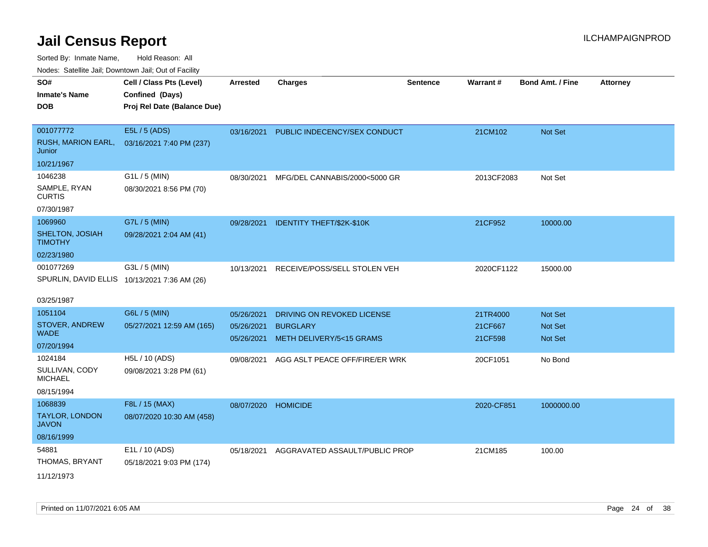| ivouss. Satellite Jali, Downtown Jali, Out of Facility |                                              |                 |                                      |                 |                 |                         |                 |
|--------------------------------------------------------|----------------------------------------------|-----------------|--------------------------------------|-----------------|-----------------|-------------------------|-----------------|
| SO#                                                    | Cell / Class Pts (Level)                     | <b>Arrested</b> | <b>Charges</b>                       | <b>Sentence</b> | <b>Warrant#</b> | <b>Bond Amt. / Fine</b> | <b>Attorney</b> |
| Inmate's Name                                          | Confined (Days)                              |                 |                                      |                 |                 |                         |                 |
| <b>DOB</b>                                             | Proj Rel Date (Balance Due)                  |                 |                                      |                 |                 |                         |                 |
|                                                        |                                              |                 |                                      |                 |                 |                         |                 |
| 001077772                                              | E5L / 5 (ADS)                                | 03/16/2021      | PUBLIC INDECENCY/SEX CONDUCT         |                 | 21CM102         | <b>Not Set</b>          |                 |
| RUSH, MARION EARL,<br>Junior                           | 03/16/2021 7:40 PM (237)                     |                 |                                      |                 |                 |                         |                 |
| 10/21/1967                                             |                                              |                 |                                      |                 |                 |                         |                 |
| 1046238                                                | G1L / 5 (MIN)                                | 08/30/2021      | MFG/DEL CANNABIS/2000<5000 GR        |                 | 2013CF2083      | Not Set                 |                 |
| SAMPLE, RYAN<br>CURTIS                                 | 08/30/2021 8:56 PM (70)                      |                 |                                      |                 |                 |                         |                 |
| 07/30/1987                                             |                                              |                 |                                      |                 |                 |                         |                 |
| 1069960                                                | G7L / 5 (MIN)                                |                 | 09/28/2021 IDENTITY THEFT/\$2K-\$10K |                 | 21CF952         | 10000.00                |                 |
| SHELTON, JOSIAH<br>TIMOTHY                             | 09/28/2021 2:04 AM (41)                      |                 |                                      |                 |                 |                         |                 |
| 02/23/1980                                             |                                              |                 |                                      |                 |                 |                         |                 |
| 001077269                                              | G3L / 5 (MIN)                                | 10/13/2021      | RECEIVE/POSS/SELL STOLEN VEH         |                 | 2020CF1122      | 15000.00                |                 |
|                                                        | SPURLIN, DAVID ELLIS 10/13/2021 7:36 AM (26) |                 |                                      |                 |                 |                         |                 |
|                                                        |                                              |                 |                                      |                 |                 |                         |                 |
| 03/25/1987                                             |                                              |                 |                                      |                 |                 |                         |                 |
| 1051104                                                | G6L / 5 (MIN)                                | 05/26/2021      | DRIVING ON REVOKED LICENSE           |                 | 21TR4000        | <b>Not Set</b>          |                 |
| STOVER, ANDREW                                         | 05/27/2021 12:59 AM (165)                    | 05/26/2021      | <b>BURGLARY</b>                      |                 | 21CF667         | <b>Not Set</b>          |                 |
| WADE.                                                  |                                              |                 | 05/26/2021 METH DELIVERY/5<15 GRAMS  |                 | 21CF598         | <b>Not Set</b>          |                 |
| 07/20/1994                                             |                                              |                 |                                      |                 |                 |                         |                 |
| 1024184                                                | H5L / 10 (ADS)                               | 09/08/2021      | AGG ASLT PEACE OFF/FIRE/ER WRK       |                 | 20CF1051        | No Bond                 |                 |
| SULLIVAN, CODY<br>MICHAEL                              | 09/08/2021 3:28 PM (61)                      |                 |                                      |                 |                 |                         |                 |
| 08/15/1994                                             |                                              |                 |                                      |                 |                 |                         |                 |
| 1068839                                                | F8L / 15 (MAX)                               | 08/07/2020      | <b>HOMICIDE</b>                      |                 | 2020-CF851      | 1000000.00              |                 |
| <b>TAYLOR, LONDON</b><br>JAVON                         | 08/07/2020 10:30 AM (458)                    |                 |                                      |                 |                 |                         |                 |
| 08/16/1999                                             |                                              |                 |                                      |                 |                 |                         |                 |
| 54881                                                  | E1L / 10 (ADS)                               | 05/18/2021      | AGGRAVATED ASSAULT/PUBLIC PROP       |                 | 21CM185         | 100.00                  |                 |
| THOMAS, BRYANT                                         | 05/18/2021 9:03 PM (174)                     |                 |                                      |                 |                 |                         |                 |
| 11/12/1973                                             |                                              |                 |                                      |                 |                 |                         |                 |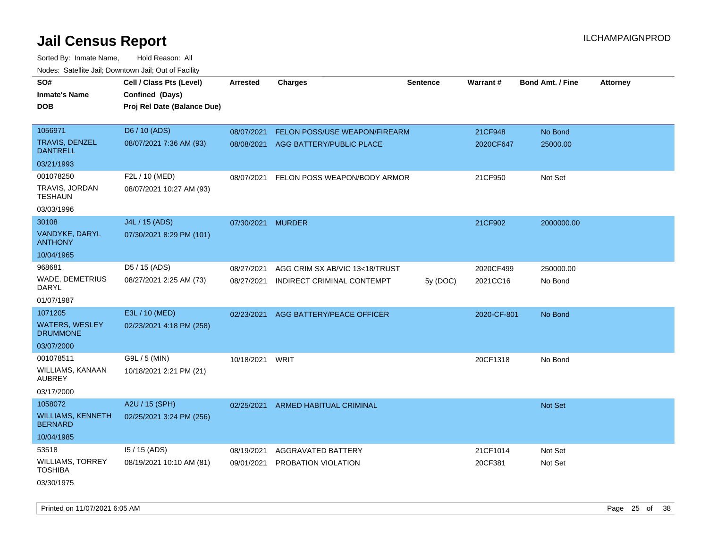| noaco. Catomto can, Domntonn can, Cat or I domt<br>SO#<br><b>Inmate's Name</b><br><b>DOB</b> | Cell / Class Pts (Level)<br>Confined (Days)<br>Proj Rel Date (Balance Due) | Arrested          | <b>Charges</b>                 | <b>Sentence</b> | Warrant#    | <b>Bond Amt. / Fine</b> | <b>Attorney</b> |
|----------------------------------------------------------------------------------------------|----------------------------------------------------------------------------|-------------------|--------------------------------|-----------------|-------------|-------------------------|-----------------|
| 1056971                                                                                      | D6 / 10 (ADS)                                                              | 08/07/2021        | FELON POSS/USE WEAPON/FIREARM  |                 | 21CF948     | No Bond                 |                 |
| TRAVIS, DENZEL<br><b>DANTRELL</b>                                                            | 08/07/2021 7:36 AM (93)                                                    | 08/08/2021        | AGG BATTERY/PUBLIC PLACE       |                 | 2020CF647   | 25000.00                |                 |
| 03/21/1993                                                                                   |                                                                            |                   |                                |                 |             |                         |                 |
| 001078250                                                                                    | F2L / 10 (MED)                                                             | 08/07/2021        | FELON POSS WEAPON/BODY ARMOR   |                 | 21CF950     | Not Set                 |                 |
| TRAVIS, JORDAN<br>TESHAUN                                                                    | 08/07/2021 10:27 AM (93)                                                   |                   |                                |                 |             |                         |                 |
| 03/03/1996                                                                                   |                                                                            |                   |                                |                 |             |                         |                 |
| 30108                                                                                        | J4L / 15 (ADS)                                                             | 07/30/2021 MURDER |                                |                 | 21CF902     | 2000000.00              |                 |
| VANDYKE, DARYL<br><b>ANTHONY</b>                                                             | 07/30/2021 8:29 PM (101)                                                   |                   |                                |                 |             |                         |                 |
| 10/04/1965                                                                                   |                                                                            |                   |                                |                 |             |                         |                 |
| 968681                                                                                       | D5 / 15 (ADS)                                                              | 08/27/2021        | AGG CRIM SX AB/VIC 13<18/TRUST |                 | 2020CF499   | 250000.00               |                 |
| <b>WADE, DEMETRIUS</b><br>DARYL                                                              | 08/27/2021 2:25 AM (73)                                                    | 08/27/2021        | INDIRECT CRIMINAL CONTEMPT     | 5y (DOC)        | 2021CC16    | No Bond                 |                 |
| 01/07/1987                                                                                   |                                                                            |                   |                                |                 |             |                         |                 |
| 1071205                                                                                      | E3L / 10 (MED)                                                             | 02/23/2021        | AGG BATTERY/PEACE OFFICER      |                 | 2020-CF-801 | No Bond                 |                 |
| <b>WATERS, WESLEY</b><br><b>DRUMMONE</b>                                                     | 02/23/2021 4:18 PM (258)                                                   |                   |                                |                 |             |                         |                 |
| 03/07/2000                                                                                   |                                                                            |                   |                                |                 |             |                         |                 |
| 001078511                                                                                    | G9L / 5 (MIN)                                                              | 10/18/2021 WRIT   |                                |                 | 20CF1318    | No Bond                 |                 |
| WILLIAMS, KANAAN<br><b>AUBREY</b>                                                            | 10/18/2021 2:21 PM (21)                                                    |                   |                                |                 |             |                         |                 |
| 03/17/2000                                                                                   |                                                                            |                   |                                |                 |             |                         |                 |
| 1058072                                                                                      | A2U / 15 (SPH)                                                             | 02/25/2021        | <b>ARMED HABITUAL CRIMINAL</b> |                 |             | Not Set                 |                 |
| <b>WILLIAMS, KENNETH</b><br><b>BERNARD</b>                                                   | 02/25/2021 3:24 PM (256)                                                   |                   |                                |                 |             |                         |                 |
| 10/04/1985                                                                                   |                                                                            |                   |                                |                 |             |                         |                 |
| 53518                                                                                        | I5 / 15 (ADS)                                                              | 08/19/2021        | AGGRAVATED BATTERY             |                 | 21CF1014    | Not Set                 |                 |
| <b>WILLIAMS, TORREY</b><br>TOSHIBA                                                           | 08/19/2021 10:10 AM (81)                                                   | 09/01/2021        | <b>PROBATION VIOLATION</b>     |                 | 20CF381     | Not Set                 |                 |
| 03/30/1975                                                                                   |                                                                            |                   |                                |                 |             |                         |                 |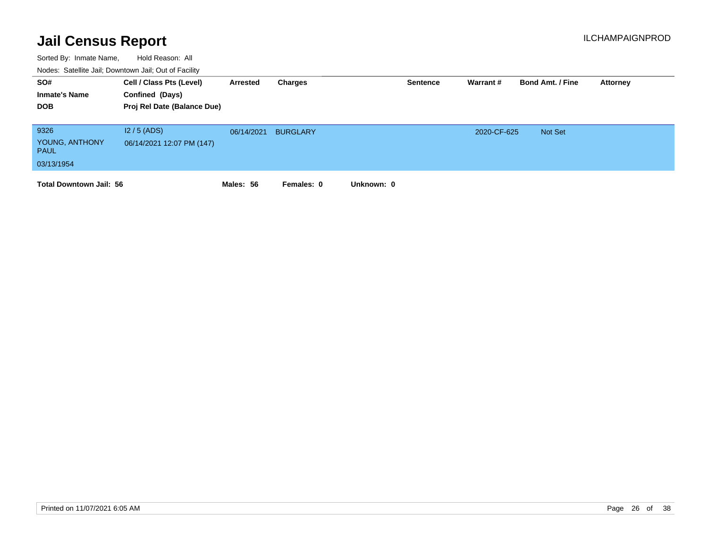| SO#<br><b>Inmate's Name</b><br><b>DOB</b>           | Cell / Class Pts (Level)<br>Confined (Days)<br>Proj Rel Date (Balance Due) | Arrested   | Charges         |            | <b>Sentence</b> | Warrant#    | <b>Bond Amt. / Fine</b> | Attorney |
|-----------------------------------------------------|----------------------------------------------------------------------------|------------|-----------------|------------|-----------------|-------------|-------------------------|----------|
| 9326<br>YOUNG, ANTHONY<br><b>PAUL</b><br>03/13/1954 | $12/5$ (ADS)<br>06/14/2021 12:07 PM (147)                                  | 06/14/2021 | <b>BURGLARY</b> |            |                 | 2020-CF-625 | Not Set                 |          |
| <b>Total Downtown Jail: 56</b>                      |                                                                            | Males: 56  | Females: 0      | Unknown: 0 |                 |             |                         |          |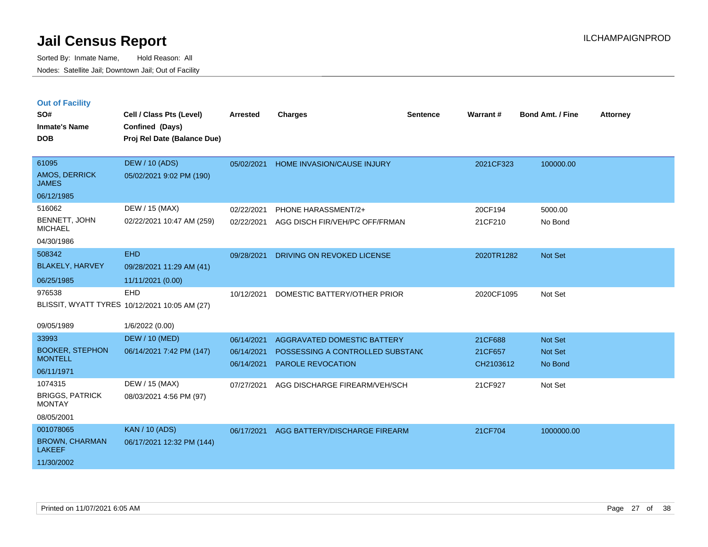|  | <b>Out of Facility</b> |  |
|--|------------------------|--|

| SO#<br><b>Inmate's Name</b><br><b>DOB</b>                         | Cell / Class Pts (Level)<br>Confined (Days)<br>Proj Rel Date (Balance Due) | <b>Arrested</b>                        | <b>Charges</b>                                                                                     | <b>Sentence</b> | Warrant#                        | <b>Bond Amt. / Fine</b>       | <b>Attorney</b> |
|-------------------------------------------------------------------|----------------------------------------------------------------------------|----------------------------------------|----------------------------------------------------------------------------------------------------|-----------------|---------------------------------|-------------------------------|-----------------|
| 61095<br><b>AMOS, DERRICK</b><br><b>JAMES</b><br>06/12/1985       | <b>DEW / 10 (ADS)</b><br>05/02/2021 9:02 PM (190)                          | 05/02/2021                             | <b>HOME INVASION/CAUSE INJURY</b>                                                                  |                 | 2021CF323                       | 100000.00                     |                 |
| 516062<br>BENNETT, JOHN<br><b>MICHAEL</b><br>04/30/1986           | DEW / 15 (MAX)<br>02/22/2021 10:47 AM (259)                                | 02/22/2021<br>02/22/2021               | PHONE HARASSMENT/2+<br>AGG DISCH FIR/VEH/PC OFF/FRMAN                                              |                 | 20CF194<br>21CF210              | 5000.00<br>No Bond            |                 |
| 508342<br><b>BLAKELY, HARVEY</b><br>06/25/1985                    | <b>EHD</b><br>09/28/2021 11:29 AM (41)<br>11/11/2021 (0.00)                | 09/28/2021                             | DRIVING ON REVOKED LICENSE                                                                         |                 | 2020TR1282                      | Not Set                       |                 |
| 976538<br>09/05/1989                                              | EHD<br>BLISSIT, WYATT TYRES 10/12/2021 10:05 AM (27)<br>1/6/2022 (0.00)    | 10/12/2021                             | DOMESTIC BATTERY/OTHER PRIOR                                                                       |                 | 2020CF1095                      | Not Set                       |                 |
| 33993<br><b>BOOKER, STEPHON</b><br><b>MONTELL</b><br>06/11/1971   | <b>DEW / 10 (MED)</b><br>06/14/2021 7:42 PM (147)                          | 06/14/2021<br>06/14/2021<br>06/14/2021 | <b>AGGRAVATED DOMESTIC BATTERY</b><br>POSSESSING A CONTROLLED SUBSTANC<br><b>PAROLE REVOCATION</b> |                 | 21CF688<br>21CF657<br>CH2103612 | Not Set<br>Not Set<br>No Bond |                 |
| 1074315<br><b>BRIGGS, PATRICK</b><br><b>MONTAY</b><br>08/05/2001  | DEW / 15 (MAX)<br>08/03/2021 4:56 PM (97)                                  | 07/27/2021                             | AGG DISCHARGE FIREARM/VEH/SCH                                                                      |                 | 21CF927                         | Not Set                       |                 |
| 001078065<br><b>BROWN, CHARMAN</b><br><b>LAKEEF</b><br>11/30/2002 | <b>KAN / 10 (ADS)</b><br>06/17/2021 12:32 PM (144)                         | 06/17/2021                             | AGG BATTERY/DISCHARGE FIREARM                                                                      |                 | 21CF704                         | 1000000.00                    |                 |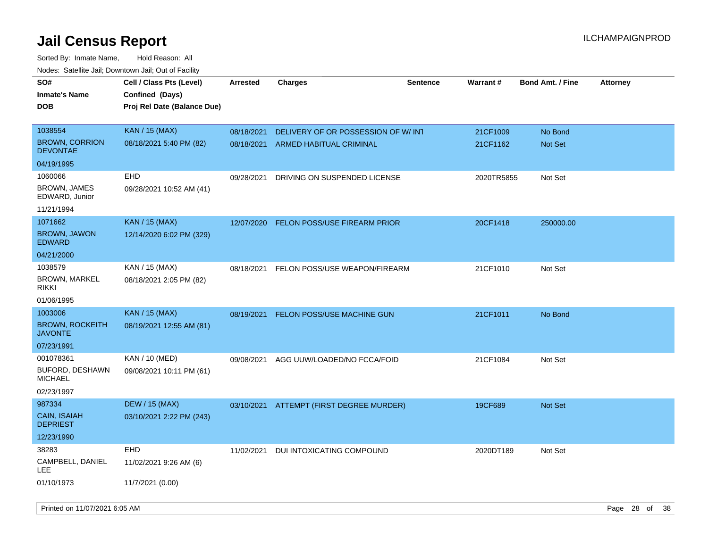| roaco. Calcinio dan, Downtown dan, Oal or Fability                  |                                                                            |                          |                                                               |                 |                      |                         |                 |
|---------------------------------------------------------------------|----------------------------------------------------------------------------|--------------------------|---------------------------------------------------------------|-----------------|----------------------|-------------------------|-----------------|
| SO#<br><b>Inmate's Name</b><br><b>DOB</b>                           | Cell / Class Pts (Level)<br>Confined (Days)<br>Proj Rel Date (Balance Due) | <b>Arrested</b>          | <b>Charges</b>                                                | <b>Sentence</b> | Warrant#             | <b>Bond Amt. / Fine</b> | <b>Attorney</b> |
| 1038554<br><b>BROWN, CORRION</b><br>DEVONTAE                        | <b>KAN / 15 (MAX)</b><br>08/18/2021 5:40 PM (82)                           | 08/18/2021<br>08/18/2021 | DELIVERY OF OR POSSESSION OF W/INT<br>ARMED HABITUAL CRIMINAL |                 | 21CF1009<br>21CF1162 | No Bond<br>Not Set      |                 |
| 04/19/1995<br>1060066<br>BROWN, JAMES                               | <b>EHD</b><br>09/28/2021 10:52 AM (41)                                     | 09/28/2021               | DRIVING ON SUSPENDED LICENSE                                  |                 | 2020TR5855           | Not Set                 |                 |
| EDWARD, Junior<br>11/21/1994                                        |                                                                            |                          |                                                               |                 |                      |                         |                 |
| 1071662<br><b>BROWN, JAWON</b><br><b>EDWARD</b>                     | <b>KAN / 15 (MAX)</b><br>12/14/2020 6:02 PM (329)                          | 12/07/2020               | <b>FELON POSS/USE FIREARM PRIOR</b>                           |                 | 20CF1418             | 250000.00               |                 |
| 04/21/2000                                                          |                                                                            |                          |                                                               |                 |                      |                         |                 |
| 1038579<br><b>BROWN, MARKEL</b><br>rikki                            | KAN / 15 (MAX)<br>08/18/2021 2:05 PM (82)                                  | 08/18/2021               | FELON POSS/USE WEAPON/FIREARM                                 |                 | 21CF1010             | Not Set                 |                 |
| 01/06/1995                                                          |                                                                            |                          |                                                               |                 |                      |                         |                 |
| 1003006<br><b>BROWN, ROCKEITH</b><br><b>JAVONTE</b><br>07/23/1991   | <b>KAN / 15 (MAX)</b><br>08/19/2021 12:55 AM (81)                          | 08/19/2021               | FELON POSS/USE MACHINE GUN                                    |                 | 21CF1011             | No Bond                 |                 |
| 001078361<br><b>BUFORD, DESHAWN</b><br><b>MICHAEL</b><br>02/23/1997 | KAN / 10 (MED)<br>09/08/2021 10:11 PM (61)                                 | 09/08/2021               | AGG UUW/LOADED/NO FCCA/FOID                                   |                 | 21CF1084             | Not Set                 |                 |
| 987334<br>CAIN, ISAIAH<br><b>DEPRIEST</b><br>12/23/1990             | <b>DEW / 15 (MAX)</b><br>03/10/2021 2:22 PM (243)                          | 03/10/2021               | ATTEMPT (FIRST DEGREE MURDER)                                 |                 | 19CF689              | Not Set                 |                 |
| 38283<br>CAMPBELL, DANIEL<br>LEE<br>01/10/1973                      | <b>EHD</b><br>11/02/2021 9:26 AM (6)<br>11/7/2021 (0.00)                   | 11/02/2021               | DUI INTOXICATING COMPOUND                                     |                 | 2020DT189            | Not Set                 |                 |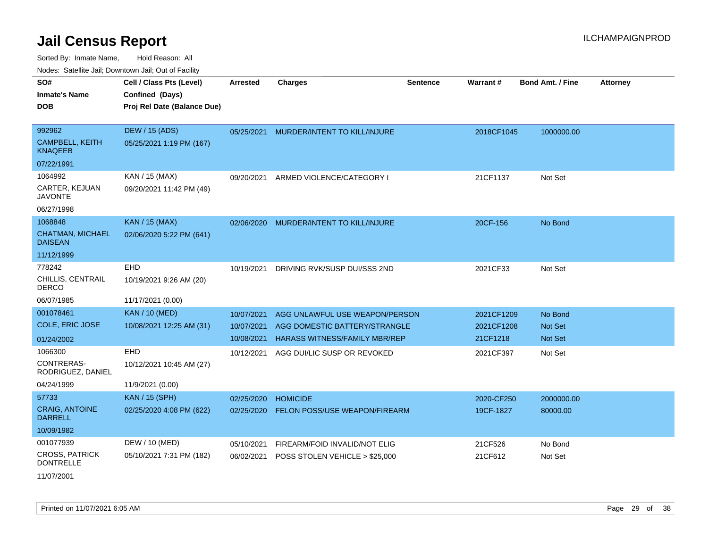Sorted By: Inmate Name, Hold Reason: All Nodes: Satellite Jail; Downtown Jail; Out of Facility

| Noucs. Calcillic Jail, Downtown Jail, Out of Facility |                             |                 |                                      |                 |                 |                         |                 |
|-------------------------------------------------------|-----------------------------|-----------------|--------------------------------------|-----------------|-----------------|-------------------------|-----------------|
| SO#                                                   | Cell / Class Pts (Level)    | <b>Arrested</b> | <b>Charges</b>                       | <b>Sentence</b> | <b>Warrant#</b> | <b>Bond Amt. / Fine</b> | <b>Attorney</b> |
| <b>Inmate's Name</b>                                  | Confined (Days)             |                 |                                      |                 |                 |                         |                 |
| <b>DOB</b>                                            | Proj Rel Date (Balance Due) |                 |                                      |                 |                 |                         |                 |
|                                                       |                             |                 |                                      |                 |                 |                         |                 |
| 992962                                                | DEW / 15 (ADS)              | 05/25/2021      | MURDER/INTENT TO KILL/INJURE         |                 | 2018CF1045      | 1000000.00              |                 |
| <b>CAMPBELL, KEITH</b><br><b>KNAQEEB</b>              | 05/25/2021 1:19 PM (167)    |                 |                                      |                 |                 |                         |                 |
| 07/22/1991                                            |                             |                 |                                      |                 |                 |                         |                 |
| 1064992                                               | KAN / 15 (MAX)              | 09/20/2021      | ARMED VIOLENCE/CATEGORY I            |                 | 21CF1137        | Not Set                 |                 |
| CARTER, KEJUAN<br><b>JAVONTE</b>                      | 09/20/2021 11:42 PM (49)    |                 |                                      |                 |                 |                         |                 |
| 06/27/1998                                            |                             |                 |                                      |                 |                 |                         |                 |
| 1068848                                               | <b>KAN / 15 (MAX)</b>       | 02/06/2020      | MURDER/INTENT TO KILL/INJURE         |                 | 20CF-156        | No Bond                 |                 |
| <b>CHATMAN, MICHAEL</b><br><b>DAISEAN</b>             | 02/06/2020 5:22 PM (641)    |                 |                                      |                 |                 |                         |                 |
| 11/12/1999                                            |                             |                 |                                      |                 |                 |                         |                 |
| 778242                                                | EHD                         | 10/19/2021      | DRIVING RVK/SUSP DUI/SSS 2ND         |                 | 2021CF33        | Not Set                 |                 |
| CHILLIS, CENTRAIL<br><b>DERCO</b>                     | 10/19/2021 9:26 AM (20)     |                 |                                      |                 |                 |                         |                 |
| 06/07/1985                                            | 11/17/2021 (0.00)           |                 |                                      |                 |                 |                         |                 |
| 001078461                                             | <b>KAN / 10 (MED)</b>       | 10/07/2021      | AGG UNLAWFUL USE WEAPON/PERSON       |                 | 2021CF1209      | No Bond                 |                 |
| <b>COLE, ERIC JOSE</b>                                | 10/08/2021 12:25 AM (31)    | 10/07/2021      | AGG DOMESTIC BATTERY/STRANGLE        |                 | 2021CF1208      | Not Set                 |                 |
| 01/24/2002                                            |                             | 10/08/2021      | <b>HARASS WITNESS/FAMILY MBR/REP</b> |                 | 21CF1218        | <b>Not Set</b>          |                 |
| 1066300                                               | <b>EHD</b>                  | 10/12/2021      | AGG DUI/LIC SUSP OR REVOKED          |                 | 2021CF397       | Not Set                 |                 |
| CONTRERAS-<br>RODRIGUEZ, DANIEL                       | 10/12/2021 10:45 AM (27)    |                 |                                      |                 |                 |                         |                 |
| 04/24/1999                                            | 11/9/2021 (0.00)            |                 |                                      |                 |                 |                         |                 |
| 57733                                                 | <b>KAN / 15 (SPH)</b>       | 02/25/2020      | <b>HOMICIDE</b>                      |                 | 2020-CF250      | 2000000.00              |                 |
| <b>CRAIG, ANTOINE</b><br><b>DARRELL</b>               | 02/25/2020 4:08 PM (622)    | 02/25/2020      | FELON POSS/USE WEAPON/FIREARM        |                 | 19CF-1827       | 80000.00                |                 |
| 10/09/1982                                            |                             |                 |                                      |                 |                 |                         |                 |
| 001077939                                             | DEW / 10 (MED)              | 05/10/2021      | FIREARM/FOID INVALID/NOT ELIG        |                 | 21CF526         | No Bond                 |                 |
| <b>CROSS, PATRICK</b><br><b>DONTRELLE</b>             | 05/10/2021 7:31 PM (182)    | 06/02/2021      | POSS STOLEN VEHICLE > \$25,000       |                 | 21CF612         | Not Set                 |                 |
| 11/07/2001                                            |                             |                 |                                      |                 |                 |                         |                 |

Printed on 11/07/2021 6:05 AM **Page 29 of 38**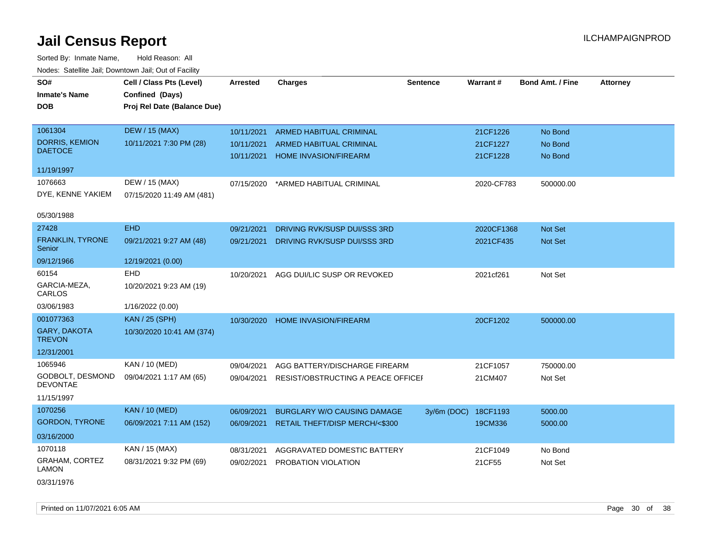| SO#                                  | Cell / Class Pts (Level)    | <b>Arrested</b> | <b>Charges</b>                     | <b>Sentence</b> | Warrant#   | <b>Bond Amt. / Fine</b> | <b>Attorney</b> |
|--------------------------------------|-----------------------------|-----------------|------------------------------------|-----------------|------------|-------------------------|-----------------|
| <b>Inmate's Name</b>                 | Confined (Days)             |                 |                                    |                 |            |                         |                 |
| <b>DOB</b>                           | Proj Rel Date (Balance Due) |                 |                                    |                 |            |                         |                 |
|                                      |                             |                 |                                    |                 |            |                         |                 |
| 1061304                              | <b>DEW / 15 (MAX)</b>       | 10/11/2021      | <b>ARMED HABITUAL CRIMINAL</b>     |                 | 21CF1226   | No Bond                 |                 |
| <b>DORRIS, KEMION</b>                | 10/11/2021 7:30 PM (28)     | 10/11/2021      | ARMED HABITUAL CRIMINAL            |                 | 21CF1227   | No Bond                 |                 |
| <b>DAETOCE</b>                       |                             | 10/11/2021      | <b>HOME INVASION/FIREARM</b>       |                 | 21CF1228   | No Bond                 |                 |
| 11/19/1997                           |                             |                 |                                    |                 |            |                         |                 |
| 1076663                              | DEW / 15 (MAX)              | 07/15/2020      | *ARMED HABITUAL CRIMINAL           |                 | 2020-CF783 | 500000.00               |                 |
| DYE, KENNE YAKIEM                    | 07/15/2020 11:49 AM (481)   |                 |                                    |                 |            |                         |                 |
|                                      |                             |                 |                                    |                 |            |                         |                 |
| 05/30/1988                           |                             |                 |                                    |                 |            |                         |                 |
| 27428                                | <b>EHD</b>                  | 09/21/2021      | DRIVING RVK/SUSP DUI/SSS 3RD       |                 | 2020CF1368 | Not Set                 |                 |
| FRANKLIN, TYRONE<br>Senior           | 09/21/2021 9:27 AM (48)     | 09/21/2021      | DRIVING RVK/SUSP DUI/SSS 3RD       |                 | 2021CF435  | Not Set                 |                 |
| 09/12/1966                           | 12/19/2021 (0.00)           |                 |                                    |                 |            |                         |                 |
| 60154                                | <b>EHD</b>                  | 10/20/2021      | AGG DUI/LIC SUSP OR REVOKED        |                 | 2021cf261  | Not Set                 |                 |
| GARCIA-MEZA,<br>CARLOS               | 10/20/2021 9:23 AM (19)     |                 |                                    |                 |            |                         |                 |
| 03/06/1983                           | 1/16/2022 (0.00)            |                 |                                    |                 |            |                         |                 |
| 001077363                            | <b>KAN / 25 (SPH)</b>       | 10/30/2020      | HOME INVASION/FIREARM              |                 | 20CF1202   | 500000.00               |                 |
| <b>GARY, DAKOTA</b><br><b>TREVON</b> | 10/30/2020 10:41 AM (374)   |                 |                                    |                 |            |                         |                 |
| 12/31/2001                           |                             |                 |                                    |                 |            |                         |                 |
| 1065946                              | KAN / 10 (MED)              | 09/04/2021      | AGG BATTERY/DISCHARGE FIREARM      |                 | 21CF1057   | 750000.00               |                 |
| GODBOLT, DESMOND<br><b>DEVONTAE</b>  | 09/04/2021 1:17 AM (65)     | 09/04/2021      | RESIST/OBSTRUCTING A PEACE OFFICEF |                 | 21CM407    | Not Set                 |                 |
| 11/15/1997                           |                             |                 |                                    |                 |            |                         |                 |
| 1070256                              | <b>KAN / 10 (MED)</b>       | 06/09/2021      | <b>BURGLARY W/O CAUSING DAMAGE</b> | $3y/6m$ (DOC)   | 18CF1193   | 5000.00                 |                 |
| <b>GORDON, TYRONE</b>                | 06/09/2021 7:11 AM (152)    | 06/09/2021      | RETAIL THEFT/DISP MERCH/<\$300     |                 | 19CM336    | 5000.00                 |                 |
| 03/16/2000                           |                             |                 |                                    |                 |            |                         |                 |
| 1070118                              | KAN / 15 (MAX)              | 08/31/2021      | AGGRAVATED DOMESTIC BATTERY        |                 | 21CF1049   | No Bond                 |                 |
| GRAHAM, CORTEZ<br>LAMON              | 08/31/2021 9:32 PM (69)     | 09/02/2021      | PROBATION VIOLATION                |                 | 21CF55     | Not Set                 |                 |
| 03/31/1976                           |                             |                 |                                    |                 |            |                         |                 |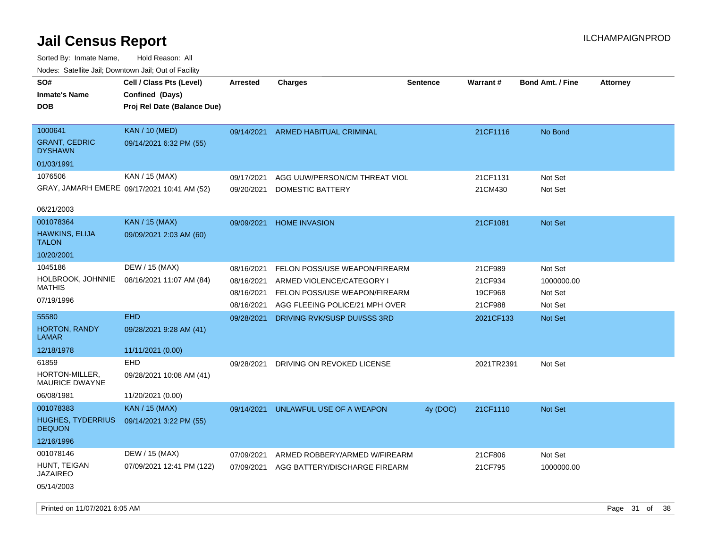| rouce. Calcinic Jan, Downtown Jan, Out or Facility |                                             |                 |                                |                 |            |                         |                 |
|----------------------------------------------------|---------------------------------------------|-----------------|--------------------------------|-----------------|------------|-------------------------|-----------------|
| SO#                                                | Cell / Class Pts (Level)                    | <b>Arrested</b> | <b>Charges</b>                 | <b>Sentence</b> | Warrant#   | <b>Bond Amt. / Fine</b> | <b>Attorney</b> |
| <b>Inmate's Name</b>                               | Confined (Days)                             |                 |                                |                 |            |                         |                 |
| <b>DOB</b>                                         | Proj Rel Date (Balance Due)                 |                 |                                |                 |            |                         |                 |
|                                                    |                                             |                 |                                |                 |            |                         |                 |
| 1000641                                            | <b>KAN / 10 (MED)</b>                       | 09/14/2021      | <b>ARMED HABITUAL CRIMINAL</b> |                 | 21CF1116   | No Bond                 |                 |
| <b>GRANT, CEDRIC</b><br><b>DYSHAWN</b>             | 09/14/2021 6:32 PM (55)                     |                 |                                |                 |            |                         |                 |
| 01/03/1991                                         |                                             |                 |                                |                 |            |                         |                 |
| 1076506                                            | KAN / 15 (MAX)                              | 09/17/2021      | AGG UUW/PERSON/CM THREAT VIOL  |                 | 21CF1131   | Not Set                 |                 |
|                                                    | GRAY, JAMARH EMERE 09/17/2021 10:41 AM (52) | 09/20/2021      | DOMESTIC BATTERY               |                 | 21CM430    | Not Set                 |                 |
|                                                    |                                             |                 |                                |                 |            |                         |                 |
| 06/21/2003                                         |                                             |                 |                                |                 |            |                         |                 |
| 001078364                                          | <b>KAN / 15 (MAX)</b>                       | 09/09/2021      | <b>HOME INVASION</b>           |                 | 21CF1081   | <b>Not Set</b>          |                 |
| <b>HAWKINS, ELIJA</b>                              | 09/09/2021 2:03 AM (60)                     |                 |                                |                 |            |                         |                 |
| <b>TALON</b>                                       |                                             |                 |                                |                 |            |                         |                 |
| 10/20/2001                                         |                                             |                 |                                |                 |            |                         |                 |
| 1045186                                            | DEW / 15 (MAX)                              | 08/16/2021      | FELON POSS/USE WEAPON/FIREARM  |                 | 21CF989    | Not Set                 |                 |
| HOLBROOK, JOHNNIE<br><b>MATHIS</b>                 | 08/16/2021 11:07 AM (84)                    | 08/16/2021      | ARMED VIOLENCE/CATEGORY I      |                 | 21CF934    | 1000000.00              |                 |
|                                                    |                                             | 08/16/2021      | FELON POSS/USE WEAPON/FIREARM  |                 | 19CF968    | Not Set                 |                 |
| 07/19/1996                                         |                                             | 08/16/2021      | AGG FLEEING POLICE/21 MPH OVER |                 | 21CF988    | Not Set                 |                 |
| 55580                                              | <b>EHD</b>                                  | 09/28/2021      | DRIVING RVK/SUSP DUI/SSS 3RD   |                 | 2021CF133  | Not Set                 |                 |
| <b>HORTON, RANDY</b><br>LAMAR                      | 09/28/2021 9:28 AM (41)                     |                 |                                |                 |            |                         |                 |
| 12/18/1978                                         | 11/11/2021 (0.00)                           |                 |                                |                 |            |                         |                 |
| 61859                                              | <b>EHD</b>                                  | 09/28/2021      | DRIVING ON REVOKED LICENSE     |                 | 2021TR2391 | Not Set                 |                 |
| HORTON-MILLER,<br>MAURICE DWAYNE                   | 09/28/2021 10:08 AM (41)                    |                 |                                |                 |            |                         |                 |
| 06/08/1981                                         | 11/20/2021 (0.00)                           |                 |                                |                 |            |                         |                 |
| 001078383                                          | <b>KAN / 15 (MAX)</b>                       | 09/14/2021      | UNLAWFUL USE OF A WEAPON       | 4y (DOC)        | 21CF1110   | Not Set                 |                 |
| <b>HUGHES, TYDERRIUS</b><br><b>DEQUON</b>          | 09/14/2021 3:22 PM (55)                     |                 |                                |                 |            |                         |                 |
| 12/16/1996                                         |                                             |                 |                                |                 |            |                         |                 |
| 001078146                                          | DEW / 15 (MAX)                              | 07/09/2021      | ARMED ROBBERY/ARMED W/FIREARM  |                 | 21CF806    | Not Set                 |                 |
| HUNT, TEIGAN                                       | 07/09/2021 12:41 PM (122)                   | 07/09/2021      | AGG BATTERY/DISCHARGE FIREARM  |                 | 21CF795    | 1000000.00              |                 |
| JAZAIREO                                           |                                             |                 |                                |                 |            |                         |                 |
| 05/14/2003                                         |                                             |                 |                                |                 |            |                         |                 |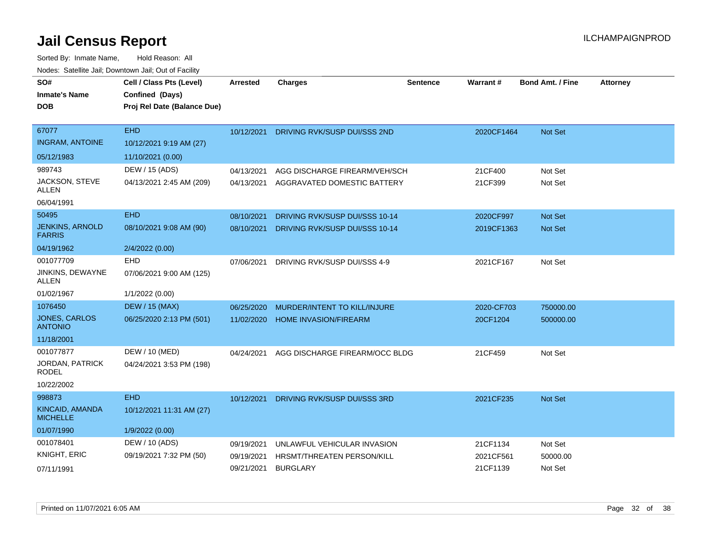| SO#                                     | Cell / Class Pts (Level)    | Arrested   | <b>Charges</b>                    | <b>Sentence</b> | Warrant#   | <b>Bond Amt. / Fine</b> | <b>Attorney</b> |
|-----------------------------------------|-----------------------------|------------|-----------------------------------|-----------------|------------|-------------------------|-----------------|
| <b>Inmate's Name</b>                    | Confined (Days)             |            |                                   |                 |            |                         |                 |
| <b>DOB</b>                              | Proj Rel Date (Balance Due) |            |                                   |                 |            |                         |                 |
|                                         |                             |            |                                   |                 |            |                         |                 |
| 67077                                   | <b>EHD</b>                  | 10/12/2021 | DRIVING RVK/SUSP DUI/SSS 2ND      |                 | 2020CF1464 | Not Set                 |                 |
| <b>INGRAM, ANTOINE</b>                  | 10/12/2021 9:19 AM (27)     |            |                                   |                 |            |                         |                 |
| 05/12/1983                              | 11/10/2021 (0.00)           |            |                                   |                 |            |                         |                 |
| 989743                                  | DEW / 15 (ADS)              | 04/13/2021 | AGG DISCHARGE FIREARM/VEH/SCH     |                 | 21CF400    | Not Set                 |                 |
| JACKSON, STEVE<br><b>ALLEN</b>          | 04/13/2021 2:45 AM (209)    | 04/13/2021 | AGGRAVATED DOMESTIC BATTERY       |                 | 21CF399    | Not Set                 |                 |
| 06/04/1991                              |                             |            |                                   |                 |            |                         |                 |
| 50495                                   | <b>EHD</b>                  | 08/10/2021 | DRIVING RVK/SUSP DUI/SSS 10-14    |                 | 2020CF997  | <b>Not Set</b>          |                 |
| <b>JENKINS, ARNOLD</b><br><b>FARRIS</b> | 08/10/2021 9:08 AM (90)     | 08/10/2021 | DRIVING RVK/SUSP DUI/SSS 10-14    |                 | 2019CF1363 | Not Set                 |                 |
| 04/19/1962                              | 2/4/2022 (0.00)             |            |                                   |                 |            |                         |                 |
| 001077709                               | EHD                         | 07/06/2021 | DRIVING RVK/SUSP DUI/SSS 4-9      |                 | 2021CF167  | Not Set                 |                 |
| JINKINS, DEWAYNE<br>ALLEN               | 07/06/2021 9:00 AM (125)    |            |                                   |                 |            |                         |                 |
| 01/02/1967                              | 1/1/2022 (0.00)             |            |                                   |                 |            |                         |                 |
| 1076450                                 | <b>DEW / 15 (MAX)</b>       | 06/25/2020 | MURDER/INTENT TO KILL/INJURE      |                 | 2020-CF703 | 750000.00               |                 |
| JONES, CARLOS<br><b>ANTONIO</b>         | 06/25/2020 2:13 PM (501)    | 11/02/2020 | <b>HOME INVASION/FIREARM</b>      |                 | 20CF1204   | 500000.00               |                 |
| 11/18/2001                              |                             |            |                                   |                 |            |                         |                 |
| 001077877                               | DEW / 10 (MED)              | 04/24/2021 | AGG DISCHARGE FIREARM/OCC BLDG    |                 | 21CF459    | Not Set                 |                 |
| JORDAN, PATRICK<br><b>RODEL</b>         | 04/24/2021 3:53 PM (198)    |            |                                   |                 |            |                         |                 |
| 10/22/2002                              |                             |            |                                   |                 |            |                         |                 |
| 998873                                  | <b>EHD</b>                  | 10/12/2021 | DRIVING RVK/SUSP DUI/SSS 3RD      |                 | 2021CF235  | <b>Not Set</b>          |                 |
| KINCAID, AMANDA<br><b>MICHELLE</b>      | 10/12/2021 11:31 AM (27)    |            |                                   |                 |            |                         |                 |
| 01/07/1990                              | 1/9/2022 (0.00)             |            |                                   |                 |            |                         |                 |
| 001078401                               | DEW / 10 (ADS)              | 09/19/2021 | UNLAWFUL VEHICULAR INVASION       |                 | 21CF1134   | Not Set                 |                 |
| <b>KNIGHT, ERIC</b>                     | 09/19/2021 7:32 PM (50)     | 09/19/2021 | <b>HRSMT/THREATEN PERSON/KILL</b> |                 | 2021CF561  | 50000.00                |                 |
| 07/11/1991                              |                             | 09/21/2021 | <b>BURGLARY</b>                   |                 | 21CF1139   | Not Set                 |                 |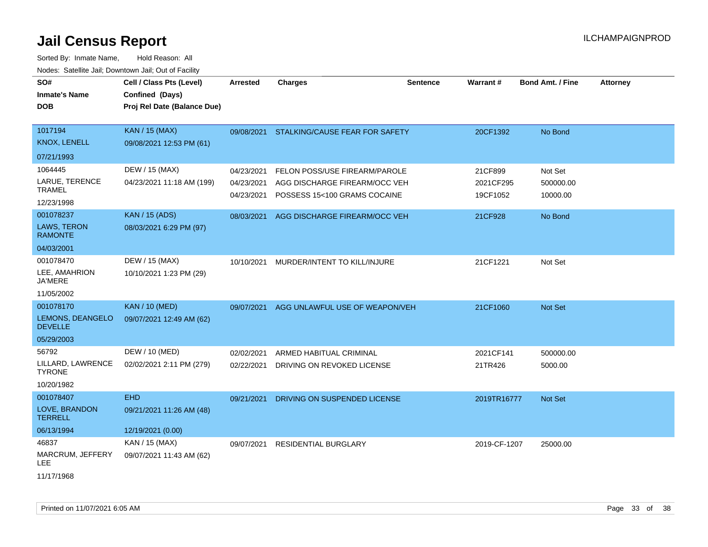| SO#<br><b>Inmate's Name</b><br><b>DOB</b>                             | Cell / Class Pts (Level)<br>Confined (Days)<br>Proj Rel Date (Balance Due) | <b>Arrested</b>                                      | <b>Charges</b>                                                                                                                  | <b>Sentence</b> | Warrant#                                    | <b>Bond Amt. / Fine</b>                     | <b>Attorney</b> |
|-----------------------------------------------------------------------|----------------------------------------------------------------------------|------------------------------------------------------|---------------------------------------------------------------------------------------------------------------------------------|-----------------|---------------------------------------------|---------------------------------------------|-----------------|
| 1017194<br>KNOX, LENELL<br>07/21/1993                                 | <b>KAN / 15 (MAX)</b><br>09/08/2021 12:53 PM (61)                          | 09/08/2021                                           | STALKING/CAUSE FEAR FOR SAFETY                                                                                                  |                 | 20CF1392                                    | No Bond                                     |                 |
| 1064445<br>LARUE, TERENCE<br><b>TRAMEL</b><br>12/23/1998<br>001078237 | DEW / 15 (MAX)<br>04/23/2021 11:18 AM (199)<br><b>KAN / 15 (ADS)</b>       | 04/23/2021<br>04/23/2021<br>04/23/2021<br>08/03/2021 | FELON POSS/USE FIREARM/PAROLE<br>AGG DISCHARGE FIREARM/OCC VEH<br>POSSESS 15<100 GRAMS COCAINE<br>AGG DISCHARGE FIREARM/OCC VEH |                 | 21CF899<br>2021CF295<br>19CF1052<br>21CF928 | Not Set<br>500000.00<br>10000.00<br>No Bond |                 |
| LAWS, TERON<br><b>RAMONTE</b><br>04/03/2001                           | 08/03/2021 6:29 PM (97)                                                    |                                                      |                                                                                                                                 |                 |                                             |                                             |                 |
| 001078470<br>LEE, AMAHRION<br><b>JA'MERE</b><br>11/05/2002            | DEW / 15 (MAX)<br>10/10/2021 1:23 PM (29)                                  | 10/10/2021                                           | MURDER/INTENT TO KILL/INJURE                                                                                                    |                 | 21CF1221                                    | Not Set                                     |                 |
| 001078170<br>LEMONS, DEANGELO<br><b>DEVELLE</b><br>05/29/2003         | <b>KAN / 10 (MED)</b><br>09/07/2021 12:49 AM (62)                          | 09/07/2021                                           | AGG UNLAWFUL USE OF WEAPON/VEH                                                                                                  |                 | 21CF1060                                    | Not Set                                     |                 |
| 56792<br>LILLARD, LAWRENCE<br><b>TYRONE</b><br>10/20/1982             | DEW / 10 (MED)<br>02/02/2021 2:11 PM (279)                                 | 02/02/2021<br>02/22/2021                             | ARMED HABITUAL CRIMINAL<br>DRIVING ON REVOKED LICENSE                                                                           |                 | 2021CF141<br>21TR426                        | 500000.00<br>5000.00                        |                 |
| 001078407<br>LOVE, BRANDON<br><b>TERRELL</b><br>06/13/1994            | <b>EHD</b><br>09/21/2021 11:26 AM (48)<br>12/19/2021 (0.00)                | 09/21/2021                                           | DRIVING ON SUSPENDED LICENSE                                                                                                    |                 | 2019TR16777                                 | Not Set                                     |                 |
| 46837<br>MARCRUM, JEFFERY<br>LEE<br>11/17/1968                        | KAN / 15 (MAX)<br>09/07/2021 11:43 AM (62)                                 | 09/07/2021                                           | <b>RESIDENTIAL BURGLARY</b>                                                                                                     |                 | 2019-CF-1207                                | 25000.00                                    |                 |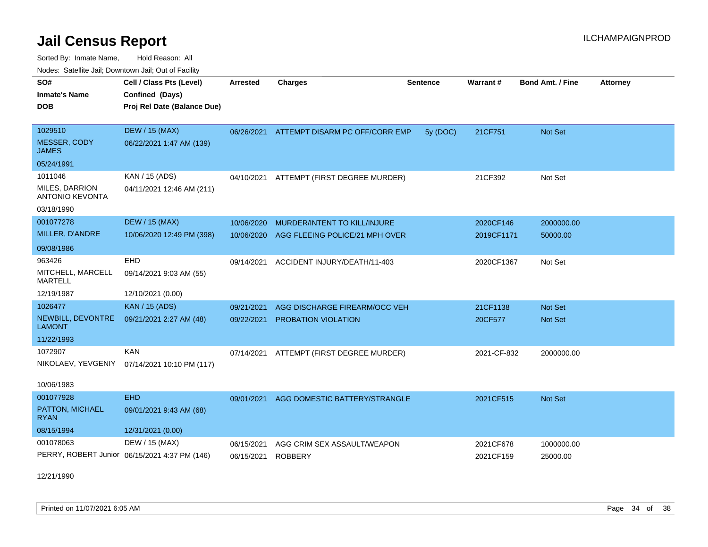Sorted By: Inmate Name, Hold Reason: All Nodes: Satellite Jail; Downtown Jail; Out of Facility

| SO#<br><b>Inmate's Name</b><br><b>DOB</b>                         | Cell / Class Pts (Level)<br>Confined (Days)<br>Proj Rel Date (Balance Due) | <b>Arrested</b>          | <b>Charges</b>                                | <b>Sentence</b> | Warrant#               | <b>Bond Amt. / Fine</b> | <b>Attorney</b> |
|-------------------------------------------------------------------|----------------------------------------------------------------------------|--------------------------|-----------------------------------------------|-----------------|------------------------|-------------------------|-----------------|
| 1029510<br><b>MESSER, CODY</b><br><b>JAMES</b>                    | <b>DEW / 15 (MAX)</b><br>06/22/2021 1:47 AM (139)                          |                          | 06/26/2021 ATTEMPT DISARM PC OFF/CORR EMP     | 5y (DOC)        | 21CF751                | Not Set                 |                 |
| 05/24/1991                                                        |                                                                            |                          |                                               |                 |                        |                         |                 |
| 1011046<br>MILES, DARRION<br><b>ANTONIO KEVONTA</b><br>03/18/1990 | KAN / 15 (ADS)<br>04/11/2021 12:46 AM (211)                                |                          | 04/10/2021 ATTEMPT (FIRST DEGREE MURDER)      |                 | 21CF392                | Not Set                 |                 |
| 001077278                                                         | <b>DEW / 15 (MAX)</b>                                                      | 10/06/2020               | MURDER/INTENT TO KILL/INJURE                  |                 | 2020CF146              | 2000000.00              |                 |
| MILLER, D'ANDRE                                                   | 10/06/2020 12:49 PM (398)                                                  | 10/06/2020               | AGG FLEEING POLICE/21 MPH OVER                |                 | 2019CF1171             | 50000.00                |                 |
| 09/08/1986                                                        |                                                                            |                          |                                               |                 |                        |                         |                 |
| 963426<br>MITCHELL, MARCELL<br>MARTELL                            | <b>EHD</b><br>09/14/2021 9:03 AM (55)                                      | 09/14/2021               | ACCIDENT INJURY/DEATH/11-403                  |                 | 2020CF1367             | Not Set                 |                 |
| 12/19/1987                                                        | 12/10/2021 (0.00)                                                          |                          |                                               |                 |                        |                         |                 |
| 1026477                                                           | <b>KAN / 15 (ADS)</b>                                                      | 09/21/2021               | AGG DISCHARGE FIREARM/OCC VEH                 |                 | 21CF1138               | <b>Not Set</b>          |                 |
| NEWBILL, DEVONTRE<br><b>LAMONT</b>                                | 09/21/2021 2:27 AM (48)                                                    | 09/22/2021               | <b>PROBATION VIOLATION</b>                    |                 | 20CF577                | <b>Not Set</b>          |                 |
| 11/22/1993                                                        |                                                                            |                          |                                               |                 |                        |                         |                 |
| 1072907<br>NIKOLAEV, YEVGENIY<br>10/06/1983                       | <b>KAN</b><br>07/14/2021 10:10 PM (117)                                    |                          | 07/14/2021 ATTEMPT (FIRST DEGREE MURDER)      |                 | 2021-CF-832            | 2000000.00              |                 |
| 001077928                                                         | <b>EHD</b>                                                                 | 09/01/2021               | AGG DOMESTIC BATTERY/STRANGLE                 |                 | 2021CF515              | <b>Not Set</b>          |                 |
| PATTON, MICHAEL<br><b>RYAN</b>                                    | 09/01/2021 9:43 AM (68)                                                    |                          |                                               |                 |                        |                         |                 |
| 08/15/1994                                                        | 12/31/2021 (0.00)                                                          |                          |                                               |                 |                        |                         |                 |
| 001078063                                                         | DEW / 15 (MAX)<br>PERRY, ROBERT Junior 06/15/2021 4:37 PM (146)            | 06/15/2021<br>06/15/2021 | AGG CRIM SEX ASSAULT/WEAPON<br><b>ROBBERY</b> |                 | 2021CF678<br>2021CF159 | 1000000.00<br>25000.00  |                 |

12/21/1990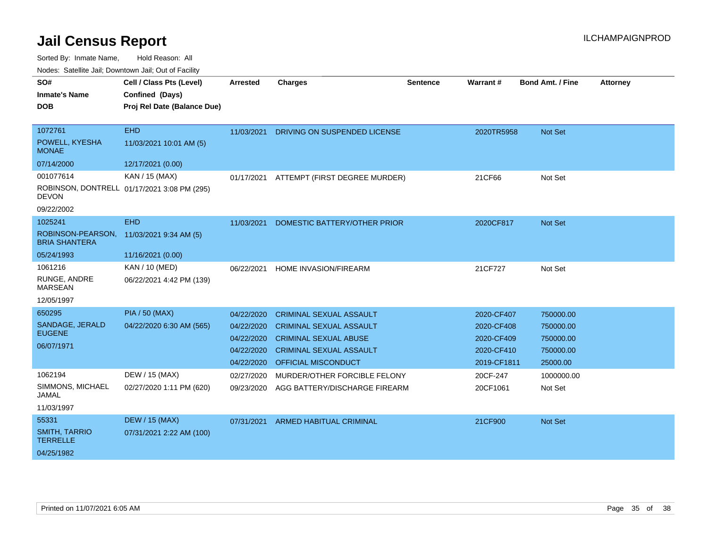Sorted By: Inmate Name, Hold Reason: All

Nodes: Satellite Jail; Downtown Jail; Out of Facility

| SO#                                       | Cell / Class Pts (Level)                    | <b>Arrested</b> | <b>Charges</b>                 | <b>Sentence</b> | Warrant#    | <b>Bond Amt. / Fine</b> | <b>Attorney</b> |
|-------------------------------------------|---------------------------------------------|-----------------|--------------------------------|-----------------|-------------|-------------------------|-----------------|
| <b>Inmate's Name</b>                      | Confined (Days)                             |                 |                                |                 |             |                         |                 |
| <b>DOB</b>                                | Proj Rel Date (Balance Due)                 |                 |                                |                 |             |                         |                 |
|                                           |                                             |                 |                                |                 |             |                         |                 |
| 1072761                                   | EHD                                         | 11/03/2021      | DRIVING ON SUSPENDED LICENSE   |                 | 2020TR5958  | Not Set                 |                 |
| POWELL, KYESHA<br><b>MONAE</b>            | 11/03/2021 10:01 AM (5)                     |                 |                                |                 |             |                         |                 |
| 07/14/2000                                | 12/17/2021 (0.00)                           |                 |                                |                 |             |                         |                 |
| 001077614                                 | KAN / 15 (MAX)                              | 01/17/2021      | ATTEMPT (FIRST DEGREE MURDER)  |                 | 21CF66      | Not Set                 |                 |
| <b>DEVON</b>                              | ROBINSON, DONTRELL 01/17/2021 3:08 PM (295) |                 |                                |                 |             |                         |                 |
| 09/22/2002                                |                                             |                 |                                |                 |             |                         |                 |
| 1025241                                   | <b>EHD</b>                                  | 11/03/2021      | DOMESTIC BATTERY/OTHER PRIOR   |                 | 2020CF817   | Not Set                 |                 |
| ROBINSON-PEARSON,<br><b>BRIA SHANTERA</b> | 11/03/2021 9:34 AM (5)                      |                 |                                |                 |             |                         |                 |
| 05/24/1993                                | 11/16/2021 (0.00)                           |                 |                                |                 |             |                         |                 |
| 1061216                                   | KAN / 10 (MED)                              | 06/22/2021      | HOME INVASION/FIREARM          |                 | 21CF727     | Not Set                 |                 |
| RUNGE, ANDRE<br><b>MARSEAN</b>            | 06/22/2021 4:42 PM (139)                    |                 |                                |                 |             |                         |                 |
| 12/05/1997                                |                                             |                 |                                |                 |             |                         |                 |
| 650295                                    | <b>PIA / 50 (MAX)</b>                       | 04/22/2020      | <b>CRIMINAL SEXUAL ASSAULT</b> |                 | 2020-CF407  | 750000.00               |                 |
| SANDAGE, JERALD                           | 04/22/2020 6:30 AM (565)                    | 04/22/2020      | <b>CRIMINAL SEXUAL ASSAULT</b> |                 | 2020-CF408  | 750000.00               |                 |
| <b>EUGENE</b>                             |                                             | 04/22/2020      | <b>CRIMINAL SEXUAL ABUSE</b>   |                 | 2020-CF409  | 750000.00               |                 |
| 06/07/1971                                |                                             | 04/22/2020      | <b>CRIMINAL SEXUAL ASSAULT</b> |                 | 2020-CF410  | 750000.00               |                 |
|                                           |                                             | 04/22/2020      | <b>OFFICIAL MISCONDUCT</b>     |                 | 2019-CF1811 | 25000.00                |                 |
| 1062194                                   | DEW / 15 (MAX)                              | 02/27/2020      | MURDER/OTHER FORCIBLE FELONY   |                 | 20CF-247    | 1000000.00              |                 |
| SIMMONS, MICHAEL<br><b>JAMAL</b>          | 02/27/2020 1:11 PM (620)                    | 09/23/2020      | AGG BATTERY/DISCHARGE FIREARM  |                 | 20CF1061    | Not Set                 |                 |
| 11/03/1997                                |                                             |                 |                                |                 |             |                         |                 |
| 55331                                     | <b>DEW / 15 (MAX)</b>                       | 07/31/2021      | <b>ARMED HABITUAL CRIMINAL</b> |                 | 21CF900     | Not Set                 |                 |
| <b>SMITH, TARRIO</b><br><b>TERRELLE</b>   | 07/31/2021 2:22 AM (100)                    |                 |                                |                 |             |                         |                 |
| 04/25/1982                                |                                             |                 |                                |                 |             |                         |                 |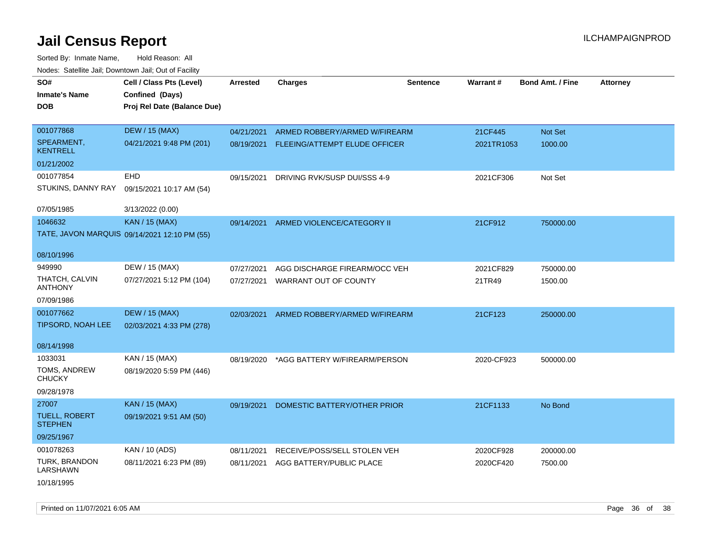| SO#                                    | Cell / Class Pts (Level)                     | <b>Arrested</b> | <b>Charges</b>                           | <b>Sentence</b> | Warrant#   | <b>Bond Amt. / Fine</b> | <b>Attorney</b> |
|----------------------------------------|----------------------------------------------|-----------------|------------------------------------------|-----------------|------------|-------------------------|-----------------|
| <b>Inmate's Name</b>                   | Confined (Days)                              |                 |                                          |                 |            |                         |                 |
| <b>DOB</b>                             | Proj Rel Date (Balance Due)                  |                 |                                          |                 |            |                         |                 |
|                                        |                                              |                 |                                          |                 |            |                         |                 |
| 001077868                              | <b>DEW / 15 (MAX)</b>                        | 04/21/2021      | ARMED ROBBERY/ARMED W/FIREARM            |                 | 21CF445    | Not Set                 |                 |
| SPEARMENT,<br><b>KENTRELL</b>          | 04/21/2021 9:48 PM (201)                     |                 | 08/19/2021 FLEEING/ATTEMPT ELUDE OFFICER |                 | 2021TR1053 | 1000.00                 |                 |
| 01/21/2002                             |                                              |                 |                                          |                 |            |                         |                 |
| 001077854                              | EHD                                          | 09/15/2021      | DRIVING RVK/SUSP DUI/SSS 4-9             |                 | 2021CF306  | Not Set                 |                 |
| STUKINS, DANNY RAY                     | 09/15/2021 10:17 AM (54)                     |                 |                                          |                 |            |                         |                 |
| 07/05/1985                             | 3/13/2022 (0.00)                             |                 |                                          |                 |            |                         |                 |
| 1046632                                | KAN / 15 (MAX)                               | 09/14/2021      | ARMED VIOLENCE/CATEGORY II               |                 | 21CF912    | 750000.00               |                 |
|                                        | TATE, JAVON MARQUIS 09/14/2021 12:10 PM (55) |                 |                                          |                 |            |                         |                 |
| 08/10/1996                             |                                              |                 |                                          |                 |            |                         |                 |
| 949990                                 | DEW / 15 (MAX)                               | 07/27/2021      | AGG DISCHARGE FIREARM/OCC VEH            |                 | 2021CF829  | 750000.00               |                 |
| THATCH, CALVIN<br><b>ANTHONY</b>       | 07/27/2021 5:12 PM (104)                     | 07/27/2021      | WARRANT OUT OF COUNTY                    |                 | 21TR49     | 1500.00                 |                 |
| 07/09/1986                             |                                              |                 |                                          |                 |            |                         |                 |
| 001077662                              | <b>DEW / 15 (MAX)</b>                        | 02/03/2021      | ARMED ROBBERY/ARMED W/FIREARM            |                 | 21CF123    | 250000.00               |                 |
| TIPSORD, NOAH LEE                      | 02/03/2021 4:33 PM (278)                     |                 |                                          |                 |            |                         |                 |
| 08/14/1998                             |                                              |                 |                                          |                 |            |                         |                 |
| 1033031                                | KAN / 15 (MAX)                               | 08/19/2020      | *AGG BATTERY W/FIREARM/PERSON            |                 | 2020-CF923 | 500000.00               |                 |
| TOMS, ANDREW<br><b>CHUCKY</b>          | 08/19/2020 5:59 PM (446)                     |                 |                                          |                 |            |                         |                 |
| 09/28/1978                             |                                              |                 |                                          |                 |            |                         |                 |
| 27007                                  | KAN / 15 (MAX)                               | 09/19/2021      | DOMESTIC BATTERY/OTHER PRIOR             |                 | 21CF1133   | No Bond                 |                 |
| <b>TUELL, ROBERT</b><br><b>STEPHEN</b> | 09/19/2021 9:51 AM (50)                      |                 |                                          |                 |            |                         |                 |
| 09/25/1967                             |                                              |                 |                                          |                 |            |                         |                 |
| 001078263                              | KAN / 10 (ADS)                               | 08/11/2021      | RECEIVE/POSS/SELL STOLEN VEH             |                 | 2020CF928  | 200000.00               |                 |
| TURK, BRANDON<br><b>LARSHAWN</b>       | 08/11/2021 6:23 PM (89)                      | 08/11/2021      | AGG BATTERY/PUBLIC PLACE                 |                 | 2020CF420  | 7500.00                 |                 |
| 10/18/1995                             |                                              |                 |                                          |                 |            |                         |                 |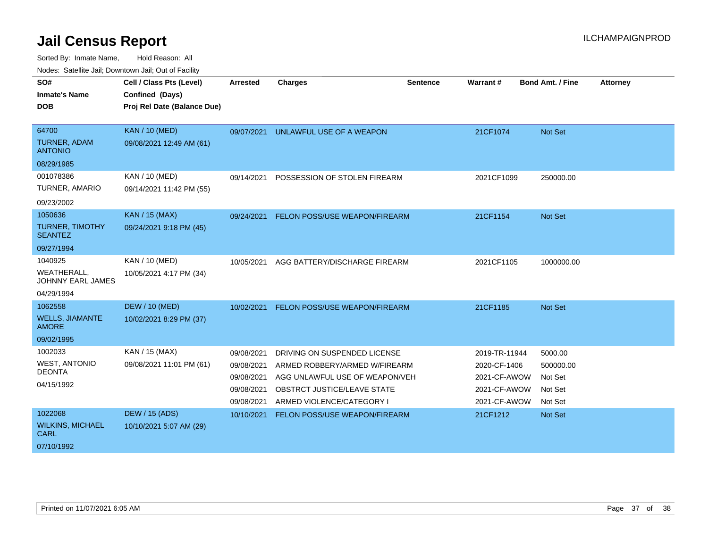| SO#<br><b>Inmate's Name</b><br><b>DOB</b>                        | Cell / Class Pts (Level)<br>Confined (Days)<br>Proj Rel Date (Balance Due) | <b>Arrested</b>                                                    | <b>Charges</b>                                                                                                                                                     | <b>Sentence</b> | Warrant#                                                                      | Bond Amt. / Fine                                      | <b>Attorney</b> |
|------------------------------------------------------------------|----------------------------------------------------------------------------|--------------------------------------------------------------------|--------------------------------------------------------------------------------------------------------------------------------------------------------------------|-----------------|-------------------------------------------------------------------------------|-------------------------------------------------------|-----------------|
| 64700<br><b>TURNER, ADAM</b><br><b>ANTONIO</b><br>08/29/1985     | <b>KAN / 10 (MED)</b><br>09/08/2021 12:49 AM (61)                          | 09/07/2021                                                         | UNLAWFUL USE OF A WEAPON                                                                                                                                           |                 | 21CF1074                                                                      | Not Set                                               |                 |
| 001078386<br>TURNER, AMARIO<br>09/23/2002                        | <b>KAN / 10 (MED)</b><br>09/14/2021 11:42 PM (55)                          | 09/14/2021                                                         | POSSESSION OF STOLEN FIREARM                                                                                                                                       |                 | 2021CF1099                                                                    | 250000.00                                             |                 |
| 1050636<br>TURNER, TIMOTHY<br><b>SEANTEZ</b><br>09/27/1994       | KAN / 15 (MAX)<br>09/24/2021 9:18 PM (45)                                  | 09/24/2021                                                         | FELON POSS/USE WEAPON/FIREARM                                                                                                                                      |                 | 21CF1154                                                                      | Not Set                                               |                 |
| 1040925<br><b>WEATHERALL.</b><br>JOHNNY EARL JAMES<br>04/29/1994 | <b>KAN / 10 (MED)</b><br>10/05/2021 4:17 PM (34)                           | 10/05/2021                                                         | AGG BATTERY/DISCHARGE FIREARM                                                                                                                                      |                 | 2021CF1105                                                                    | 1000000.00                                            |                 |
| 1062558<br><b>WELLS, JIAMANTE</b><br><b>AMORE</b><br>09/02/1995  | <b>DEW / 10 (MED)</b><br>10/02/2021 8:29 PM (37)                           | 10/02/2021                                                         | FELON POSS/USE WEAPON/FIREARM                                                                                                                                      |                 | 21CF1185                                                                      | <b>Not Set</b>                                        |                 |
| 1002033<br><b>WEST, ANTONIO</b><br><b>DEONTA</b><br>04/15/1992   | KAN / 15 (MAX)<br>09/08/2021 11:01 PM (61)                                 | 09/08/2021<br>09/08/2021<br>09/08/2021<br>09/08/2021<br>09/08/2021 | DRIVING ON SUSPENDED LICENSE<br>ARMED ROBBERY/ARMED W/FIREARM<br>AGG UNLAWFUL USE OF WEAPON/VEH<br><b>OBSTRCT JUSTICE/LEAVE STATE</b><br>ARMED VIOLENCE/CATEGORY I |                 | 2019-TR-11944<br>2020-CF-1406<br>2021-CF-AWOW<br>2021-CF-AWOW<br>2021-CF-AWOW | 5000.00<br>500000.00<br>Not Set<br>Not Set<br>Not Set |                 |
| 1022068<br><b>WILKINS, MICHAEL</b><br><b>CARL</b><br>07/10/1992  | <b>DEW / 15 (ADS)</b><br>10/10/2021 5:07 AM (29)                           | 10/10/2021                                                         | <b>FELON POSS/USE WEAPON/FIREARM</b>                                                                                                                               |                 | 21CF1212                                                                      | Not Set                                               |                 |